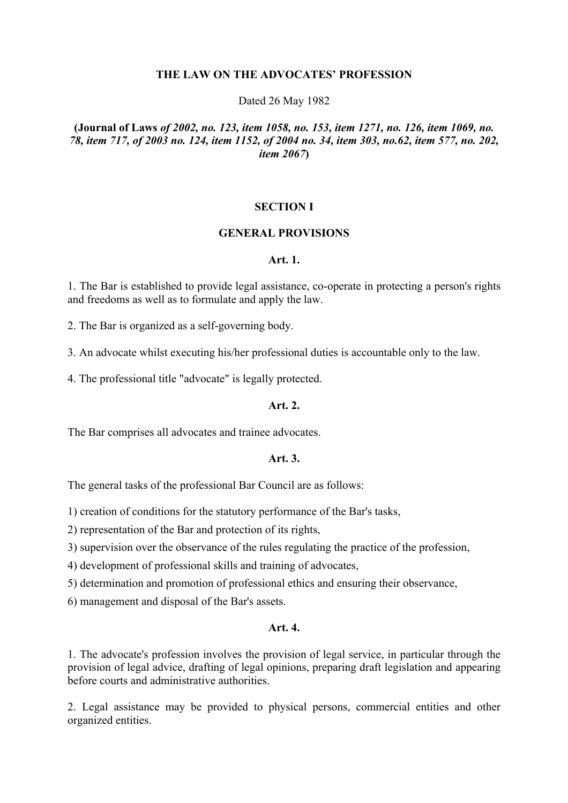#### **THE LAW ON THE ADVOCATES' PROFESSION**

#### Dated 26 May 1982

## **(Journal of Laws** *of 2002, no. 123, item 1058, no. 153, item 1271, no. 126, item 1069, no. 78, item 717, of 2003 no. 124, item 1152, of 2004 no. 34, item 303, no.62, item 577, no. 202, item 2067***)**

#### **SECTION I**

#### **GENERAL PROVISIONS**

#### **Art. 1.**

1. The Bar is established to provide legal assistance, co-operate in protecting a person's rights and freedoms as well as to formulate and apply the law.

2. The Bar is organized as a self-governing body.

3. An advocate whilst executing his/her professional duties is accountable only to the law.

4. The professional title "advocate" is legally protected.

#### **Art. 2.**

The Bar comprises all advocates and trainee advocates.

#### **Art. 3.**

The general tasks of the professional Bar Council are as follows:

1) creation of conditions for the statutory performance of the Bar's tasks,

2) representation of the Bar and protection of its rights,

3) supervision over the observance of the rules regulating the practice of the profession,

4) development of professional skills and training of advocates,

5) determination and promotion of professional ethics and ensuring their observance,

6) management and disposal of the Bar's assets.

#### **Art. 4.**

1. The advocate's profession involves the provision of legal service, in particular through the provision of legal advice, drafting of legal opinions, preparing draft legislation and appearing before courts and administrative authorities.

2. Legal assistance may be provided to physical persons, commercial entities and other organized entities.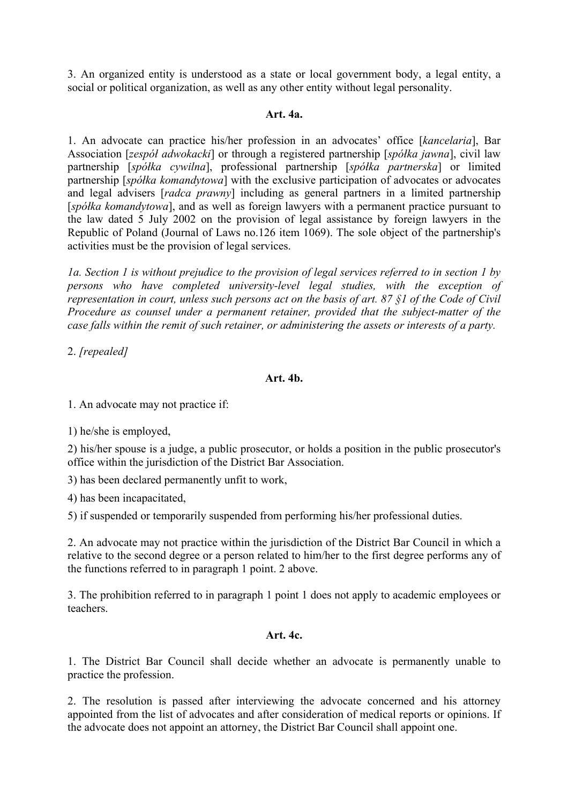3. An organized entity is understood as a state or local government body, a legal entity, a social or political organization, as well as any other entity without legal personality.

## **Art. 4a.**

1. An advocate can practice his/her profession in an advocates' office [*kancelaria*], Bar Association [*zespół adwokacki*] or through a registered partnership [*spółka jawna*], civil law partnership [*spółka cywilna*], professional partnership [*spółka partnerska*] or limited partnership [*spółka komandytowa*] with the exclusive participation of advocates or advocates and legal advisers [*radca prawny*] including as general partners in a limited partnership [*spółka komandytowa*], and as well as foreign lawyers with a permanent practice pursuant to the law dated 5 July 2002 on the provision of legal assistance by foreign lawyers in the Republic of Poland (Journal of Laws no.126 item 1069). The sole object of the partnership's activities must be the provision of legal services.

*1a. Section 1 is without prejudice to the provision of legal services referred to in section 1 by persons who have completed university-level legal studies, with the exception of representation in court, unless such persons act on the basis of art. 87 §1 of the Code of Civil Procedure as counsel under a permanent retainer, provided that the subject-matter of the case falls within the remit of such retainer, or administering the assets or interests of a party.* 

2. *[repealed]*

## **Art. 4b.**

1. An advocate may not practice if:

1) he/she is employed,

2) his/her spouse is a judge, a public prosecutor, or holds a position in the public prosecutor's office within the jurisdiction of the District Bar Association.

3) has been declared permanently unfit to work,

4) has been incapacitated,

5) if suspended or temporarily suspended from performing his/her professional duties.

2. An advocate may not practice within the jurisdiction of the District Bar Council in which a relative to the second degree or a person related to him/her to the first degree performs any of the functions referred to in paragraph 1 point. 2 above.

3. The prohibition referred to in paragraph 1 point 1 does not apply to academic employees or teachers.

### **Art. 4c.**

1. The District Bar Council shall decide whether an advocate is permanently unable to practice the profession.

2. The resolution is passed after interviewing the advocate concerned and his attorney appointed from the list of advocates and after consideration of medical reports or opinions. If the advocate does not appoint an attorney, the District Bar Council shall appoint one.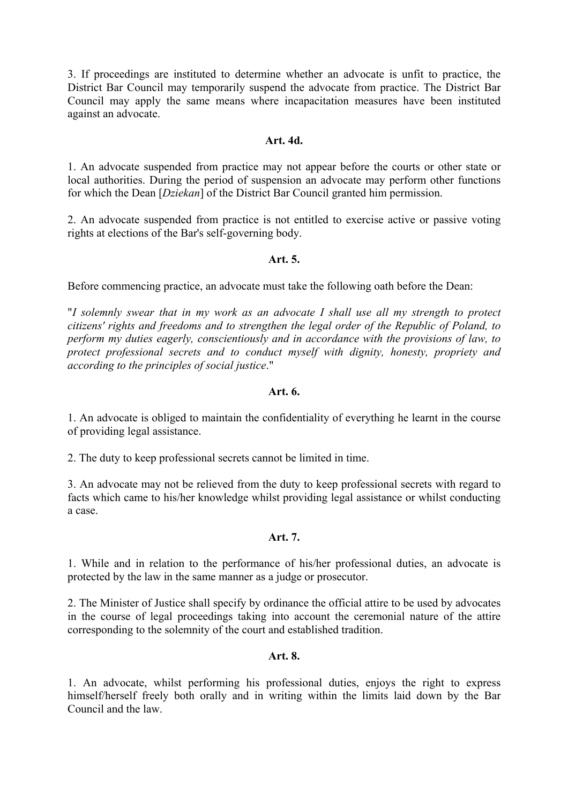3. If proceedings are instituted to determine whether an advocate is unfit to practice, the District Bar Council may temporarily suspend the advocate from practice. The District Bar Council may apply the same means where incapacitation measures have been instituted against an advocate.

## **Art. 4d.**

1. An advocate suspended from practice may not appear before the courts or other state or local authorities. During the period of suspension an advocate may perform other functions for which the Dean [*Dziekan*] of the District Bar Council granted him permission.

2. An advocate suspended from practice is not entitled to exercise active or passive voting rights at elections of the Bar's self-governing body.

## **Art. 5.**

Before commencing practice, an advocate must take the following oath before the Dean:

"*I solemnly swear that in my work as an advocate I shall use all my strength to protect citizens' rights and freedoms and to strengthen the legal order of the Republic of Poland, to perform my duties eagerly, conscientiously and in accordance with the provisions of law, to protect professional secrets and to conduct myself with dignity, honesty, propriety and according to the principles of social justice*."

## **Art. 6.**

1. An advocate is obliged to maintain the confidentiality of everything he learnt in the course of providing legal assistance.

2. The duty to keep professional secrets cannot be limited in time.

3. An advocate may not be relieved from the duty to keep professional secrets with regard to facts which came to his/her knowledge whilst providing legal assistance or whilst conducting a case.

# **Art. 7.**

1. While and in relation to the performance of his/her professional duties, an advocate is protected by the law in the same manner as a judge or prosecutor.

2. The Minister of Justice shall specify by ordinance the official attire to be used by advocates in the course of legal proceedings taking into account the ceremonial nature of the attire corresponding to the solemnity of the court and established tradition.

### **Art. 8.**

1. An advocate, whilst performing his professional duties, enjoys the right to express himself/herself freely both orally and in writing within the limits laid down by the Bar Council and the law.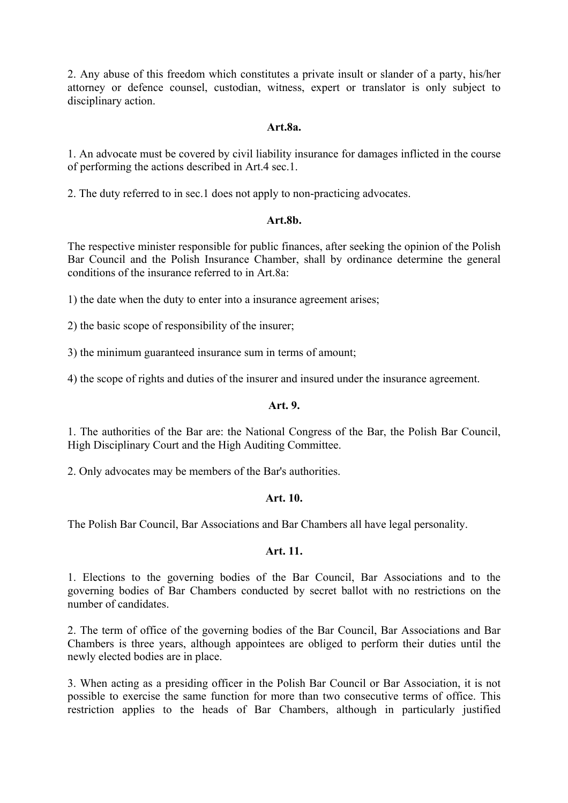2. Any abuse of this freedom which constitutes a private insult or slander of a party, his/her attorney or defence counsel, custodian, witness, expert or translator is only subject to disciplinary action.

### **Art.8a.**

1. An advocate must be covered by civil liability insurance for damages inflicted in the course of performing the actions described in Art.4 sec.1.

2. The duty referred to in sec.1 does not apply to non-practicing advocates.

### **Art.8b.**

The respective minister responsible for public finances, after seeking the opinion of the Polish Bar Council and the Polish Insurance Chamber, shall by ordinance determine the general conditions of the insurance referred to in Art.8a:

1) the date when the duty to enter into a insurance agreement arises;

2) the basic scope of responsibility of the insurer;

3) the minimum guaranteed insurance sum in terms of amount;

4) the scope of rights and duties of the insurer and insured under the insurance agreement.

### **Art. 9.**

1. The authorities of the Bar are: the National Congress of the Bar, the Polish Bar Council, High Disciplinary Court and the High Auditing Committee.

2. Only advocates may be members of the Bar's authorities.

### **Art. 10.**

The Polish Bar Council, Bar Associations and Bar Chambers all have legal personality.

## **Art. 11.**

1. Elections to the governing bodies of the Bar Council, Bar Associations and to the governing bodies of Bar Chambers conducted by secret ballot with no restrictions on the number of candidates.

2. The term of office of the governing bodies of the Bar Council, Bar Associations and Bar Chambers is three years, although appointees are obliged to perform their duties until the newly elected bodies are in place.

3. When acting as a presiding officer in the Polish Bar Council or Bar Association, it is not possible to exercise the same function for more than two consecutive terms of office. This restriction applies to the heads of Bar Chambers, although in particularly justified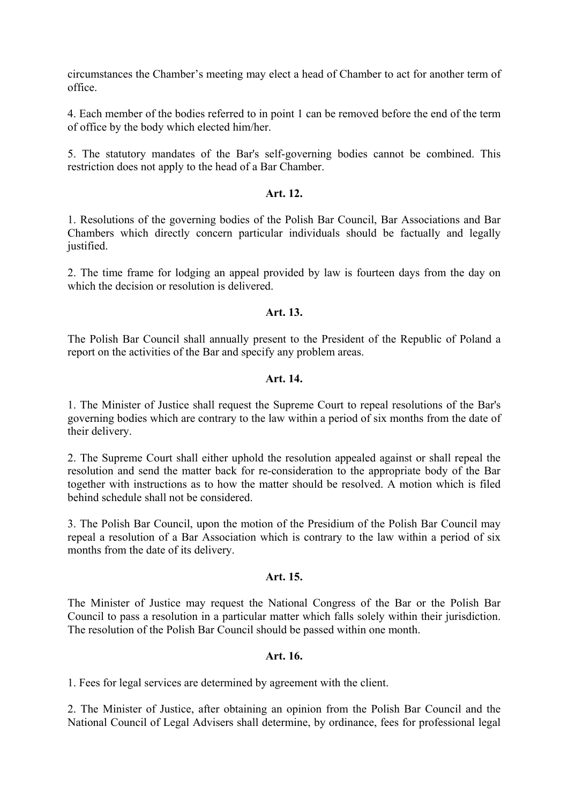circumstances the Chamber's meeting may elect a head of Chamber to act for another term of office.

4. Each member of the bodies referred to in point 1 can be removed before the end of the term of office by the body which elected him/her.

5. The statutory mandates of the Bar's self-governing bodies cannot be combined. This restriction does not apply to the head of a Bar Chamber.

## **Art. 12.**

1. Resolutions of the governing bodies of the Polish Bar Council, Bar Associations and Bar Chambers which directly concern particular individuals should be factually and legally justified.

2. The time frame for lodging an appeal provided by law is fourteen days from the day on which the decision or resolution is delivered.

## **Art. 13.**

The Polish Bar Council shall annually present to the President of the Republic of Poland a report on the activities of the Bar and specify any problem areas.

## **Art. 14.**

1. The Minister of Justice shall request the Supreme Court to repeal resolutions of the Bar's governing bodies which are contrary to the law within a period of six months from the date of their delivery.

2. The Supreme Court shall either uphold the resolution appealed against or shall repeal the resolution and send the matter back for re-consideration to the appropriate body of the Bar together with instructions as to how the matter should be resolved. A motion which is filed behind schedule shall not be considered.

3. The Polish Bar Council, upon the motion of the Presidium of the Polish Bar Council may repeal a resolution of a Bar Association which is contrary to the law within a period of six months from the date of its delivery.

### **Art. 15.**

The Minister of Justice may request the National Congress of the Bar or the Polish Bar Council to pass a resolution in a particular matter which falls solely within their jurisdiction. The resolution of the Polish Bar Council should be passed within one month.

### **Art. 16.**

1. Fees for legal services are determined by agreement with the client.

2. The Minister of Justice, after obtaining an opinion from the Polish Bar Council and the National Council of Legal Advisers shall determine, by ordinance, fees for professional legal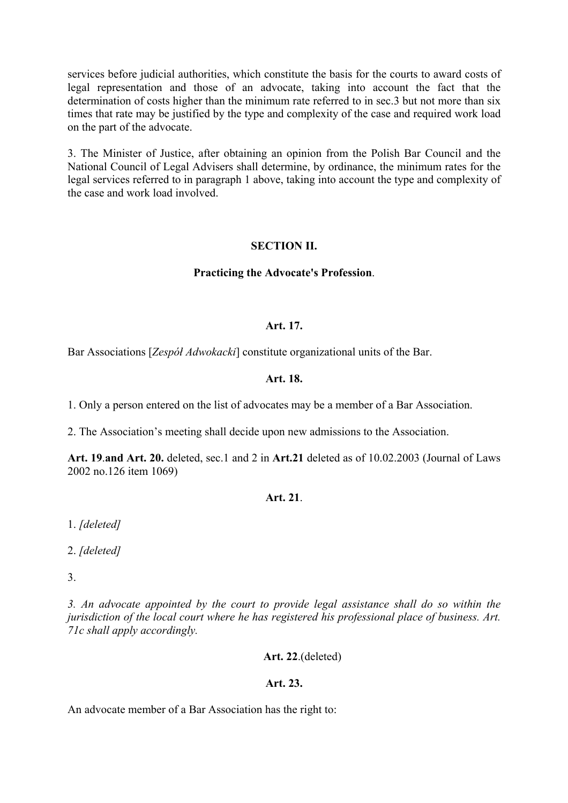services before judicial authorities, which constitute the basis for the courts to award costs of legal representation and those of an advocate, taking into account the fact that the determination of costs higher than the minimum rate referred to in sec.3 but not more than six times that rate may be justified by the type and complexity of the case and required work load on the part of the advocate.

3. The Minister of Justice, after obtaining an opinion from the Polish Bar Council and the National Council of Legal Advisers shall determine, by ordinance, the minimum rates for the legal services referred to in paragraph 1 above, taking into account the type and complexity of the case and work load involved.

## **SECTION II.**

### **Practicing the Advocate's Profession**.

### **Art. 17.**

Bar Associations [*Zespół Adwokacki*] constitute organizational units of the Bar.

### **Art. 18.**

1. Only a person entered on the list of advocates may be a member of a Bar Association.

2. The Association's meeting shall decide upon new admissions to the Association.

**Art. 19**.**and Art. 20.** deleted, sec.1 and 2 in **Art.21** deleted as of 10.02.2003 (Journal of Laws 2002 no.126 item 1069)

# **Art. 21**.

1. *[deleted]*

2. *[deleted]*

3.

*3. An advocate appointed by the court to provide legal assistance shall do so within the jurisdiction of the local court where he has registered his professional place of business. Art. 71c shall apply accordingly.* 

### **Art. 22**.(deleted)

### **Art. 23.**

An advocate member of a Bar Association has the right to: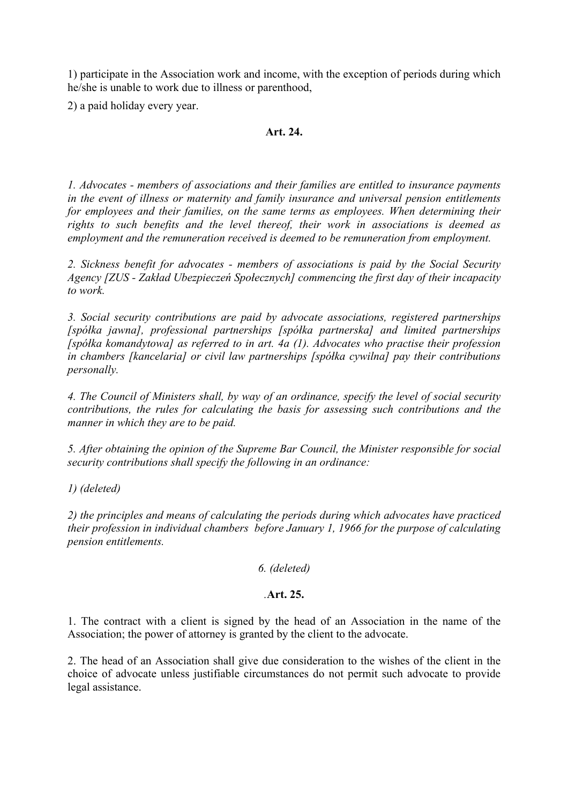1) participate in the Association work and income, with the exception of periods during which he/she is unable to work due to illness or parenthood,

2) a paid holiday every year.

## **Art. 24.**

*1. Advocates - members of associations and their families are entitled to insurance payments in the event of illness or maternity and family insurance and universal pension entitlements*  for employees and their families, on the same terms as employees. When determining their *rights to such benefits and the level thereof, their work in associations is deemed as employment and the remuneration received is deemed to be remuneration from employment.* 

*2. Sickness benefit for advocates - members of associations is paid by the Social Security Agency [ZUS - Zakład Ubezpieczeń Społecznych] commencing the first day of their incapacity to work.* 

*3. Social security contributions are paid by advocate associations, registered partnerships [spółka jawna], professional partnerships [spółka partnerska] and limited partnerships [spółka komandytowa] as referred to in art. 4a (1). Advocates who practise their profession in chambers [kancelaria] or civil law partnerships [spółka cywilna] pay their contributions personally.* 

*4. The Council of Ministers shall, by way of an ordinance, specify the level of social security contributions, the rules for calculating the basis for assessing such contributions and the manner in which they are to be paid.* 

*5. After obtaining the opinion of the Supreme Bar Council, the Minister responsible for social security contributions shall specify the following in an ordinance:* 

*1) (deleted)* 

*2) the principles and means of calculating the periods during which advocates have practiced their profession in individual chambers before January 1, 1966 for the purpose of calculating pension entitlements.* 

### *6. (deleted)*

# *.***Art. 25.**

1. The contract with a client is signed by the head of an Association in the name of the Association; the power of attorney is granted by the client to the advocate.

2. The head of an Association shall give due consideration to the wishes of the client in the choice of advocate unless justifiable circumstances do not permit such advocate to provide legal assistance.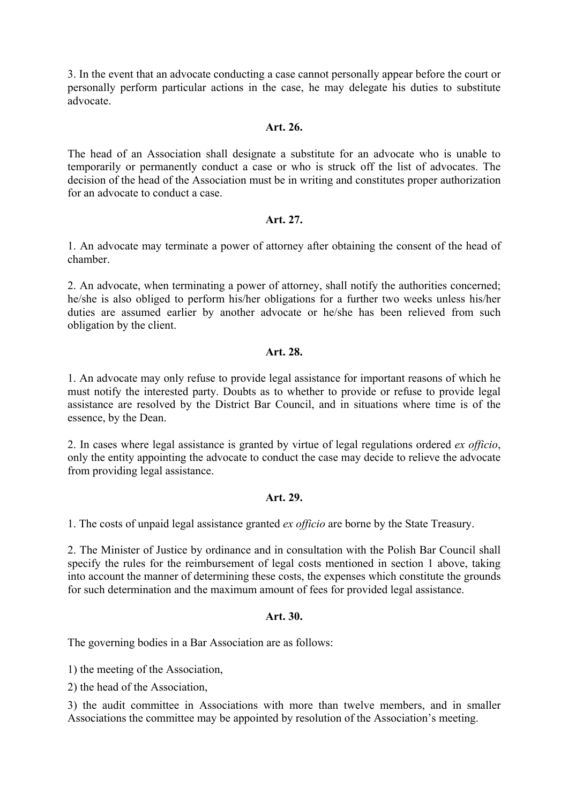3. In the event that an advocate conducting a case cannot personally appear before the court or personally perform particular actions in the case, he may delegate his duties to substitute advocate.

#### **Art. 26.**

The head of an Association shall designate a substitute for an advocate who is unable to temporarily or permanently conduct a case or who is struck off the list of advocates. The decision of the head of the Association must be in writing and constitutes proper authorization for an advocate to conduct a case.

### **Art. 27.**

1. An advocate may terminate a power of attorney after obtaining the consent of the head of chamber.

2. An advocate, when terminating a power of attorney, shall notify the authorities concerned; he/she is also obliged to perform his/her obligations for a further two weeks unless his/her duties are assumed earlier by another advocate or he/she has been relieved from such obligation by the client.

## **Art. 28.**

1. An advocate may only refuse to provide legal assistance for important reasons of which he must notify the interested party. Doubts as to whether to provide or refuse to provide legal assistance are resolved by the District Bar Council, and in situations where time is of the essence, by the Dean.

2. In cases where legal assistance is granted by virtue of legal regulations ordered *ex officio*, only the entity appointing the advocate to conduct the case may decide to relieve the advocate from providing legal assistance.

### **Art. 29.**

1. The costs of unpaid legal assistance granted *ex officio* are borne by the State Treasury.

2. The Minister of Justice by ordinance and in consultation with the Polish Bar Council shall specify the rules for the reimbursement of legal costs mentioned in section 1 above, taking into account the manner of determining these costs, the expenses which constitute the grounds for such determination and the maximum amount of fees for provided legal assistance.

### **Art. 30.**

The governing bodies in a Bar Association are as follows:

1) the meeting of the Association,

2) the head of the Association,

3) the audit committee in Associations with more than twelve members, and in smaller Associations the committee may be appointed by resolution of the Association's meeting.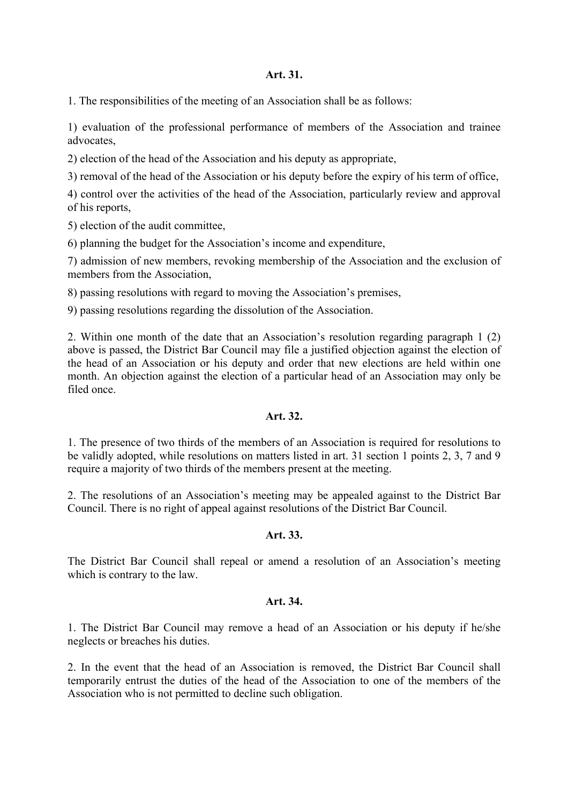#### **Art. 31.**

1. The responsibilities of the meeting of an Association shall be as follows:

1) evaluation of the professional performance of members of the Association and trainee advocates,

2) election of the head of the Association and his deputy as appropriate,

3) removal of the head of the Association or his deputy before the expiry of his term of office,

4) control over the activities of the head of the Association, particularly review and approval of his reports,

5) election of the audit committee,

6) planning the budget for the Association's income and expenditure,

7) admission of new members, revoking membership of the Association and the exclusion of members from the Association,

8) passing resolutions with regard to moving the Association's premises,

9) passing resolutions regarding the dissolution of the Association.

2. Within one month of the date that an Association's resolution regarding paragraph 1 (2) above is passed, the District Bar Council may file a justified objection against the election of the head of an Association or his deputy and order that new elections are held within one month. An objection against the election of a particular head of an Association may only be filed once

### **Art. 32.**

1. The presence of two thirds of the members of an Association is required for resolutions to be validly adopted, while resolutions on matters listed in art. 31 section 1 points 2, 3, 7 and 9 require a majority of two thirds of the members present at the meeting.

2. The resolutions of an Association's meeting may be appealed against to the District Bar Council. There is no right of appeal against resolutions of the District Bar Council.

### **Art. 33.**

The District Bar Council shall repeal or amend a resolution of an Association's meeting which is contrary to the law.

## **Art. 34.**

1. The District Bar Council may remove a head of an Association or his deputy if he/she neglects or breaches his duties.

2. In the event that the head of an Association is removed, the District Bar Council shall temporarily entrust the duties of the head of the Association to one of the members of the Association who is not permitted to decline such obligation.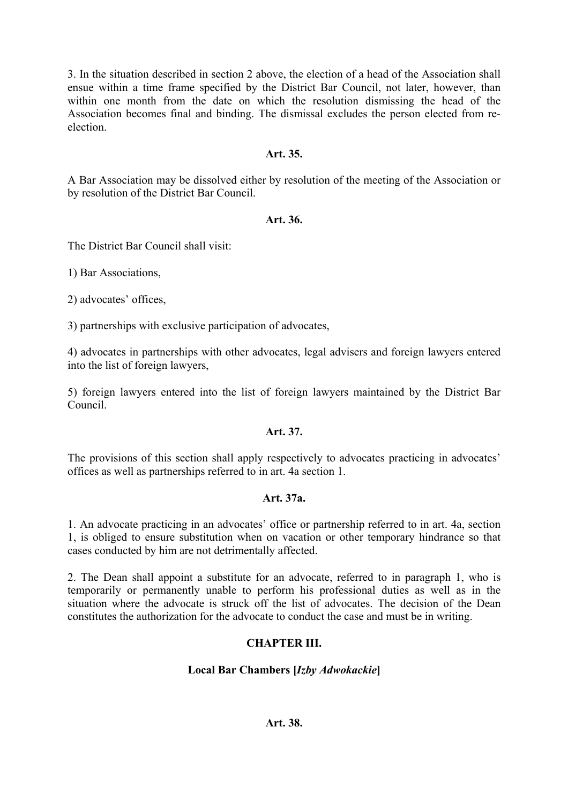3. In the situation described in section 2 above, the election of a head of the Association shall ensue within a time frame specified by the District Bar Council, not later, however, than within one month from the date on which the resolution dismissing the head of the Association becomes final and binding. The dismissal excludes the person elected from reelection.

## **Art. 35.**

A Bar Association may be dissolved either by resolution of the meeting of the Association or by resolution of the District Bar Council.

## **Art. 36.**

The District Bar Council shall visit:

1) Bar Associations,

2) advocates' offices,

3) partnerships with exclusive participation of advocates,

4) advocates in partnerships with other advocates, legal advisers and foreign lawyers entered into the list of foreign lawyers,

5) foreign lawyers entered into the list of foreign lawyers maintained by the District Bar Council.

# **Art. 37.**

The provisions of this section shall apply respectively to advocates practicing in advocates' offices as well as partnerships referred to in art. 4a section 1.

### **Art. 37a.**

1. An advocate practicing in an advocates' office or partnership referred to in art. 4a, section 1, is obliged to ensure substitution when on vacation or other temporary hindrance so that cases conducted by him are not detrimentally affected.

2. The Dean shall appoint a substitute for an advocate, referred to in paragraph 1, who is temporarily or permanently unable to perform his professional duties as well as in the situation where the advocate is struck off the list of advocates. The decision of the Dean constitutes the authorization for the advocate to conduct the case and must be in writing.

# **CHAPTER III.**

# **Local Bar Chambers [***Izby Adwokackie***]**

# **Art. 38.**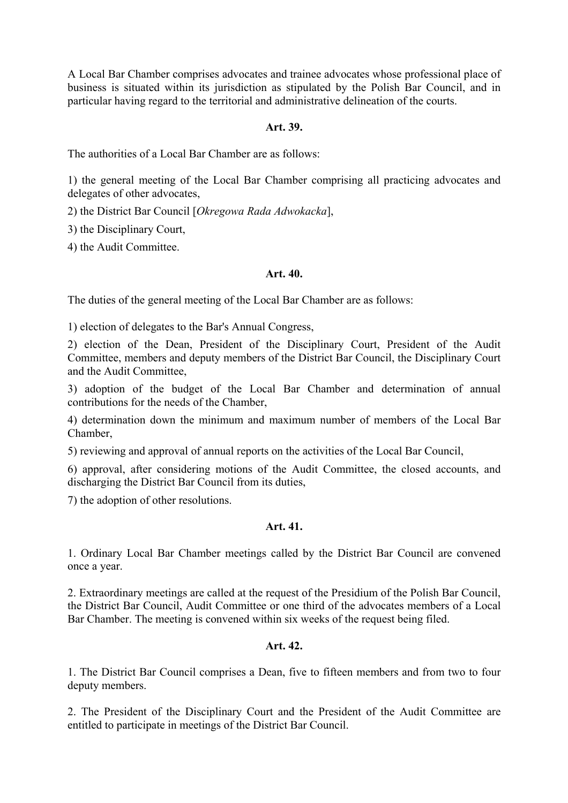A Local Bar Chamber comprises advocates and trainee advocates whose professional place of business is situated within its jurisdiction as stipulated by the Polish Bar Council, and in particular having regard to the territorial and administrative delineation of the courts.

## **Art. 39.**

The authorities of a Local Bar Chamber are as follows:

1) the general meeting of the Local Bar Chamber comprising all practicing advocates and delegates of other advocates,

2) the District Bar Council [*Okregowa Rada Adwokacka*],

3) the Disciplinary Court,

4) the Audit Committee.

### **Art. 40.**

The duties of the general meeting of the Local Bar Chamber are as follows:

1) election of delegates to the Bar's Annual Congress,

2) election of the Dean, President of the Disciplinary Court, President of the Audit Committee, members and deputy members of the District Bar Council, the Disciplinary Court and the Audit Committee,

3) adoption of the budget of the Local Bar Chamber and determination of annual contributions for the needs of the Chamber,

4) determination down the minimum and maximum number of members of the Local Bar Chamber,

5) reviewing and approval of annual reports on the activities of the Local Bar Council,

6) approval, after considering motions of the Audit Committee, the closed accounts, and discharging the District Bar Council from its duties,

7) the adoption of other resolutions.

# **Art. 41.**

1. Ordinary Local Bar Chamber meetings called by the District Bar Council are convened once a year.

2. Extraordinary meetings are called at the request of the Presidium of the Polish Bar Council, the District Bar Council, Audit Committee or one third of the advocates members of a Local Bar Chamber. The meeting is convened within six weeks of the request being filed.

### **Art. 42.**

1. The District Bar Council comprises a Dean, five to fifteen members and from two to four deputy members.

2. The President of the Disciplinary Court and the President of the Audit Committee are entitled to participate in meetings of the District Bar Council.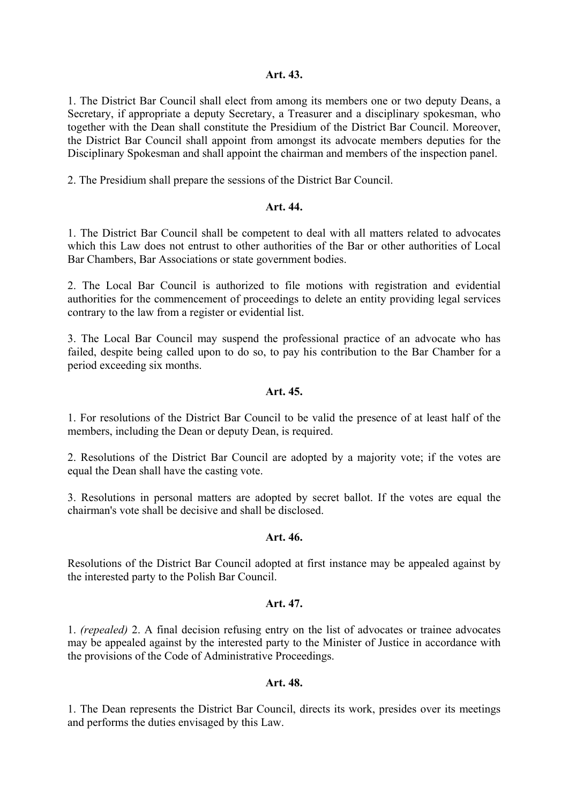### **Art. 43.**

1. The District Bar Council shall elect from among its members one or two deputy Deans, a Secretary, if appropriate a deputy Secretary, a Treasurer and a disciplinary spokesman, who together with the Dean shall constitute the Presidium of the District Bar Council. Moreover, the District Bar Council shall appoint from amongst its advocate members deputies for the Disciplinary Spokesman and shall appoint the chairman and members of the inspection panel.

2. The Presidium shall prepare the sessions of the District Bar Council.

### **Art. 44.**

1. The District Bar Council shall be competent to deal with all matters related to advocates which this Law does not entrust to other authorities of the Bar or other authorities of Local Bar Chambers, Bar Associations or state government bodies.

2. The Local Bar Council is authorized to file motions with registration and evidential authorities for the commencement of proceedings to delete an entity providing legal services contrary to the law from a register or evidential list.

3. The Local Bar Council may suspend the professional practice of an advocate who has failed, despite being called upon to do so, to pay his contribution to the Bar Chamber for a period exceeding six months.

### **Art. 45.**

1. For resolutions of the District Bar Council to be valid the presence of at least half of the members, including the Dean or deputy Dean, is required.

2. Resolutions of the District Bar Council are adopted by a majority vote; if the votes are equal the Dean shall have the casting vote.

3. Resolutions in personal matters are adopted by secret ballot. If the votes are equal the chairman's vote shall be decisive and shall be disclosed.

# **Art. 46.**

Resolutions of the District Bar Council adopted at first instance may be appealed against by the interested party to the Polish Bar Council.

## **Art. 47.**

1. *(repealed)* 2. A final decision refusing entry on the list of advocates or trainee advocates may be appealed against by the interested party to the Minister of Justice in accordance with the provisions of the Code of Administrative Proceedings.

### **Art. 48.**

1. The Dean represents the District Bar Council, directs its work, presides over its meetings and performs the duties envisaged by this Law.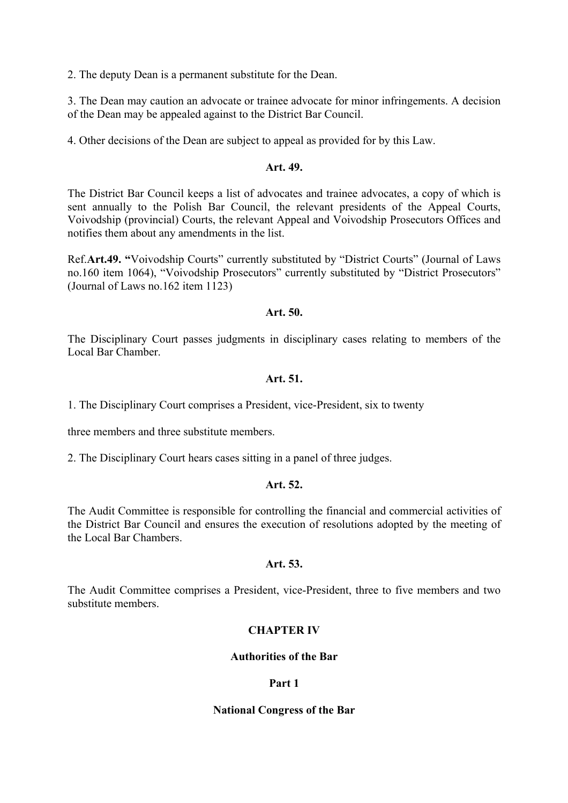2. The deputy Dean is a permanent substitute for the Dean.

3. The Dean may caution an advocate or trainee advocate for minor infringements. A decision of the Dean may be appealed against to the District Bar Council.

4. Other decisions of the Dean are subject to appeal as provided for by this Law.

### **Art. 49.**

The District Bar Council keeps a list of advocates and trainee advocates, a copy of which is sent annually to the Polish Bar Council, the relevant presidents of the Appeal Courts, Voivodship (provincial) Courts, the relevant Appeal and Voivodship Prosecutors Offices and notifies them about any amendments in the list.

Ref.**Art.49. "**Voivodship Courts" currently substituted by "District Courts" (Journal of Laws no.160 item 1064), "Voivodship Prosecutors" currently substituted by "District Prosecutors" (Journal of Laws no.162 item 1123)

## **Art. 50.**

The Disciplinary Court passes judgments in disciplinary cases relating to members of the Local Bar Chamber.

## **Art. 51.**

1. The Disciplinary Court comprises a President, vice-President, six to twenty

three members and three substitute members.

2. The Disciplinary Court hears cases sitting in a panel of three judges.

### **Art. 52.**

The Audit Committee is responsible for controlling the financial and commercial activities of the District Bar Council and ensures the execution of resolutions adopted by the meeting of the Local Bar Chambers.

### **Art. 53.**

The Audit Committee comprises a President, vice-President, three to five members and two substitute members.

# **CHAPTER IV**

## **Authorities of the Bar**

### **Part 1**

### **National Congress of the Bar**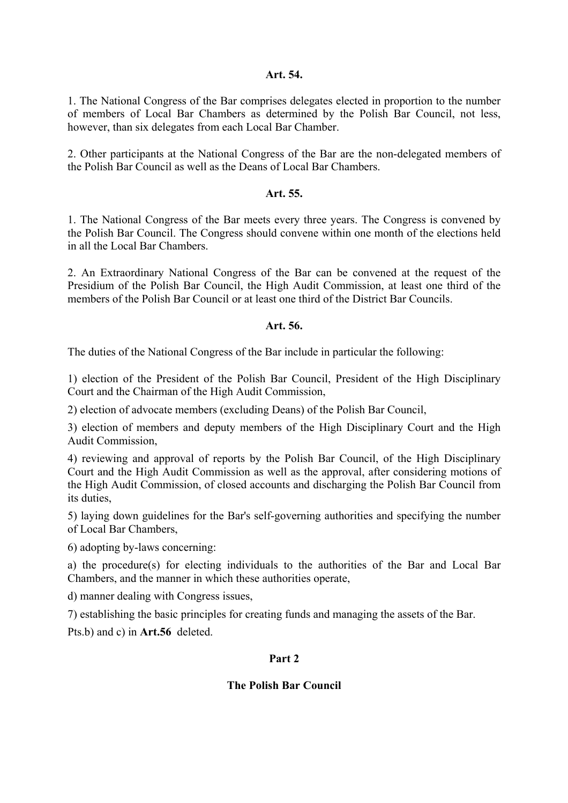### **Art. 54.**

1. The National Congress of the Bar comprises delegates elected in proportion to the number of members of Local Bar Chambers as determined by the Polish Bar Council, not less, however, than six delegates from each Local Bar Chamber.

2. Other participants at the National Congress of the Bar are the non-delegated members of the Polish Bar Council as well as the Deans of Local Bar Chambers.

## **Art. 55.**

1. The National Congress of the Bar meets every three years. The Congress is convened by the Polish Bar Council. The Congress should convene within one month of the elections held in all the Local Bar Chambers.

2. An Extraordinary National Congress of the Bar can be convened at the request of the Presidium of the Polish Bar Council, the High Audit Commission, at least one third of the members of the Polish Bar Council or at least one third of the District Bar Councils.

## **Art. 56.**

The duties of the National Congress of the Bar include in particular the following:

1) election of the President of the Polish Bar Council, President of the High Disciplinary Court and the Chairman of the High Audit Commission,

2) election of advocate members (excluding Deans) of the Polish Bar Council,

3) election of members and deputy members of the High Disciplinary Court and the High Audit Commission,

4) reviewing and approval of reports by the Polish Bar Council, of the High Disciplinary Court and the High Audit Commission as well as the approval, after considering motions of the High Audit Commission, of closed accounts and discharging the Polish Bar Council from its duties,

5) laying down guidelines for the Bar's self-governing authorities and specifying the number of Local Bar Chambers,

6) adopting by-laws concerning:

a) the procedure(s) for electing individuals to the authorities of the Bar and Local Bar Chambers, and the manner in which these authorities operate,

d) manner dealing with Congress issues,

7) establishing the basic principles for creating funds and managing the assets of the Bar.

Pts.b) and c) in **Art.56** deleted.

### **Part 2**

### **The Polish Bar Council**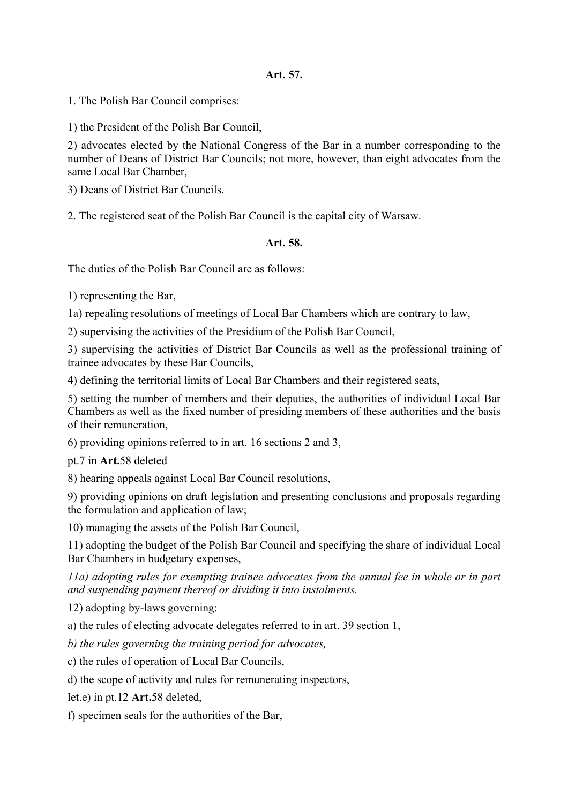## **Art. 57.**

1. The Polish Bar Council comprises:

1) the President of the Polish Bar Council,

2) advocates elected by the National Congress of the Bar in a number corresponding to the number of Deans of District Bar Councils; not more, however, than eight advocates from the same Local Bar Chamber

3) Deans of District Bar Councils.

2. The registered seat of the Polish Bar Council is the capital city of Warsaw.

### **Art. 58.**

The duties of the Polish Bar Council are as follows:

1) representing the Bar,

1a) repealing resolutions of meetings of Local Bar Chambers which are contrary to law,

2) supervising the activities of the Presidium of the Polish Bar Council,

3) supervising the activities of District Bar Councils as well as the professional training of trainee advocates by these Bar Councils,

4) defining the territorial limits of Local Bar Chambers and their registered seats,

5) setting the number of members and their deputies, the authorities of individual Local Bar Chambers as well as the fixed number of presiding members of these authorities and the basis of their remuneration,

6) providing opinions referred to in art. 16 sections 2 and 3,

pt.7 in **Art.**58 deleted

8) hearing appeals against Local Bar Council resolutions,

9) providing opinions on draft legislation and presenting conclusions and proposals regarding the formulation and application of law;

10) managing the assets of the Polish Bar Council,

11) adopting the budget of the Polish Bar Council and specifying the share of individual Local Bar Chambers in budgetary expenses,

*11a) adopting rules for exempting trainee advocates from the annual fee in whole or in part and suspending payment thereof or dividing it into instalments.* 

12) adopting by-laws governing:

a) the rules of electing advocate delegates referred to in art. 39 section 1,

*b) the rules governing the training period for advocates,* 

c) the rules of operation of Local Bar Councils,

d) the scope of activity and rules for remunerating inspectors,

let.e) in pt.12 **Art.**58 deleted,

f) specimen seals for the authorities of the Bar,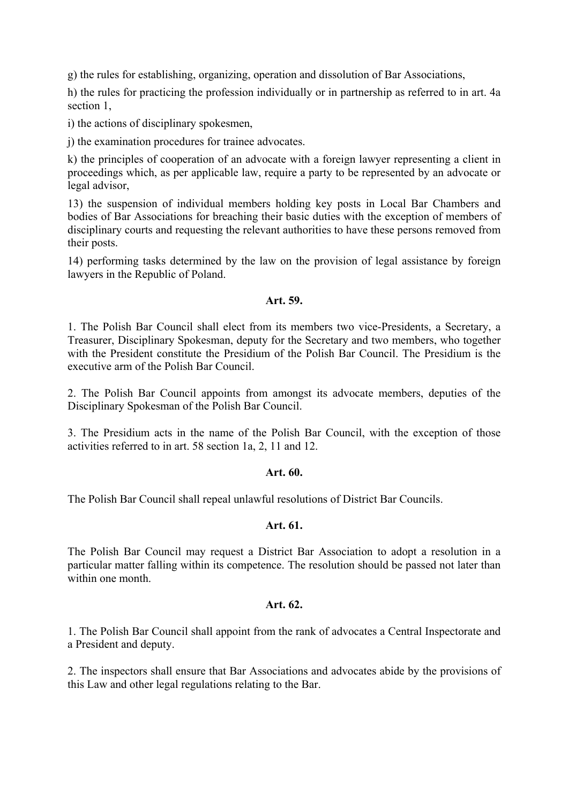g) the rules for establishing, organizing, operation and dissolution of Bar Associations,

h) the rules for practicing the profession individually or in partnership as referred to in art. 4a section 1,

i) the actions of disciplinary spokesmen,

j) the examination procedures for trainee advocates.

k) the principles of cooperation of an advocate with a foreign lawyer representing a client in proceedings which, as per applicable law, require a party to be represented by an advocate or legal advisor,

13) the suspension of individual members holding key posts in Local Bar Chambers and bodies of Bar Associations for breaching their basic duties with the exception of members of disciplinary courts and requesting the relevant authorities to have these persons removed from their posts.

14) performing tasks determined by the law on the provision of legal assistance by foreign lawyers in the Republic of Poland.

### **Art. 59.**

1. The Polish Bar Council shall elect from its members two vice-Presidents, a Secretary, a Treasurer, Disciplinary Spokesman, deputy for the Secretary and two members, who together with the President constitute the Presidium of the Polish Bar Council. The Presidium is the executive arm of the Polish Bar Council.

2. The Polish Bar Council appoints from amongst its advocate members, deputies of the Disciplinary Spokesman of the Polish Bar Council.

3. The Presidium acts in the name of the Polish Bar Council, with the exception of those activities referred to in art. 58 section 1a, 2, 11 and 12.

### **Art. 60.**

The Polish Bar Council shall repeal unlawful resolutions of District Bar Councils.

### **Art. 61.**

The Polish Bar Council may request a District Bar Association to adopt a resolution in a particular matter falling within its competence. The resolution should be passed not later than within one month.

### **Art. 62.**

1. The Polish Bar Council shall appoint from the rank of advocates a Central Inspectorate and a President and deputy.

2. The inspectors shall ensure that Bar Associations and advocates abide by the provisions of this Law and other legal regulations relating to the Bar.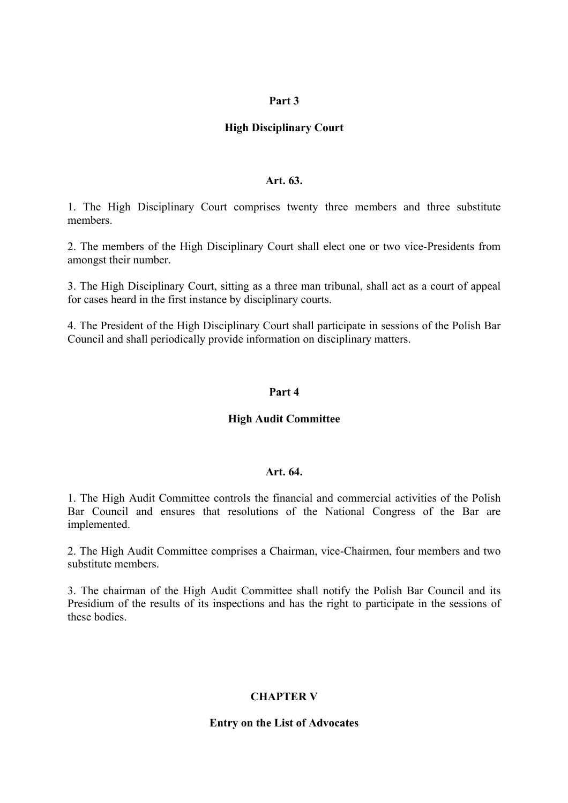#### **Part 3**

### **High Disciplinary Court**

#### **Art. 63.**

1. The High Disciplinary Court comprises twenty three members and three substitute members.

2. The members of the High Disciplinary Court shall elect one or two vice-Presidents from amongst their number.

3. The High Disciplinary Court, sitting as a three man tribunal, shall act as a court of appeal for cases heard in the first instance by disciplinary courts.

4. The President of the High Disciplinary Court shall participate in sessions of the Polish Bar Council and shall periodically provide information on disciplinary matters.

#### **Part 4**

### **High Audit Committee**

#### **Art. 64.**

1. The High Audit Committee controls the financial and commercial activities of the Polish Bar Council and ensures that resolutions of the National Congress of the Bar are implemented.

2. The High Audit Committee comprises a Chairman, vice-Chairmen, four members and two substitute members.

3. The chairman of the High Audit Committee shall notify the Polish Bar Council and its Presidium of the results of its inspections and has the right to participate in the sessions of these bodies.

#### **CHAPTER V**

#### **Entry on the List of Advocates**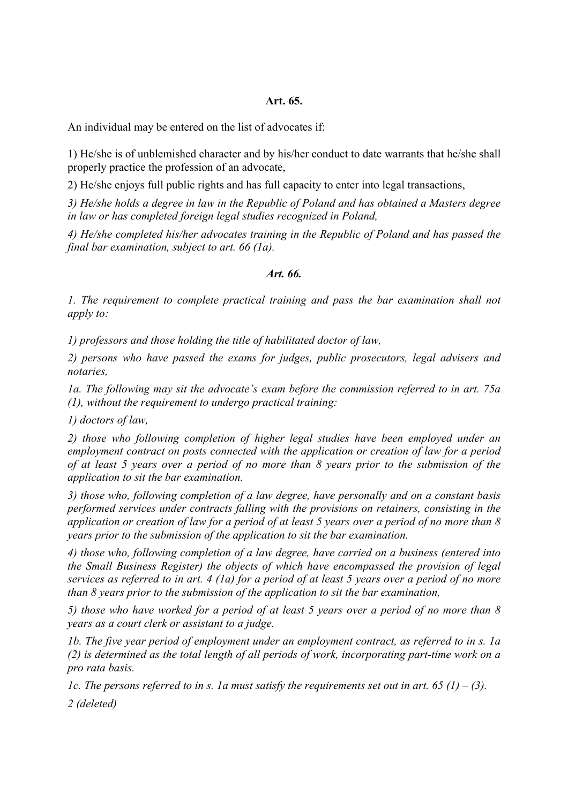#### **Art. 65.**

An individual may be entered on the list of advocates if:

1) He/she is of unblemished character and by his/her conduct to date warrants that he/she shall properly practice the profession of an advocate,

2) He/she enjoys full public rights and has full capacity to enter into legal transactions,

*3) He/she holds a degree in law in the Republic of Poland and has obtained a Masters degree in law or has completed foreign legal studies recognized in Poland,* 

*4) He/she completed his/her advocates training in the Republic of Poland and has passed the final bar examination, subject to art. 66 (1a).* 

#### *Art. 66.*

*1. The requirement to complete practical training and pass the bar examination shall not apply to:* 

*1) professors and those holding the title of habilitated doctor of law,* 

*2) persons who have passed the exams for judges, public prosecutors, legal advisers and notaries,* 

*1a. The following may sit the advocate's exam before the commission referred to in art. 75a (1), without the requirement to undergo practical training:* 

*1) doctors of law,* 

*2) those who following completion of higher legal studies have been employed under an employment contract on posts connected with the application or creation of law for a period of at least 5 years over a period of no more than 8 years prior to the submission of the application to sit the bar examination.* 

*3) those who, following completion of a law degree, have personally and on a constant basis performed services under contracts falling with the provisions on retainers, consisting in the application or creation of law for a period of at least 5 years over a period of no more than 8 years prior to the submission of the application to sit the bar examination.* 

*4) those who, following completion of a law degree, have carried on a business (entered into the Small Business Register) the objects of which have encompassed the provision of legal services as referred to in art. 4 (1a) for a period of at least 5 years over a period of no more than 8 years prior to the submission of the application to sit the bar examination,* 

*5) those who have worked for a period of at least 5 years over a period of no more than 8 years as a court clerk or assistant to a judge.* 

*1b. The five year period of employment under an employment contract, as referred to in s. 1a (2) is determined as the total length of all periods of work, incorporating part-time work on a pro rata basis.* 

*1c. The persons referred to in s. 1a must satisfy the requirements set out in art.* 65 (1) – (3). *2 (deleted)*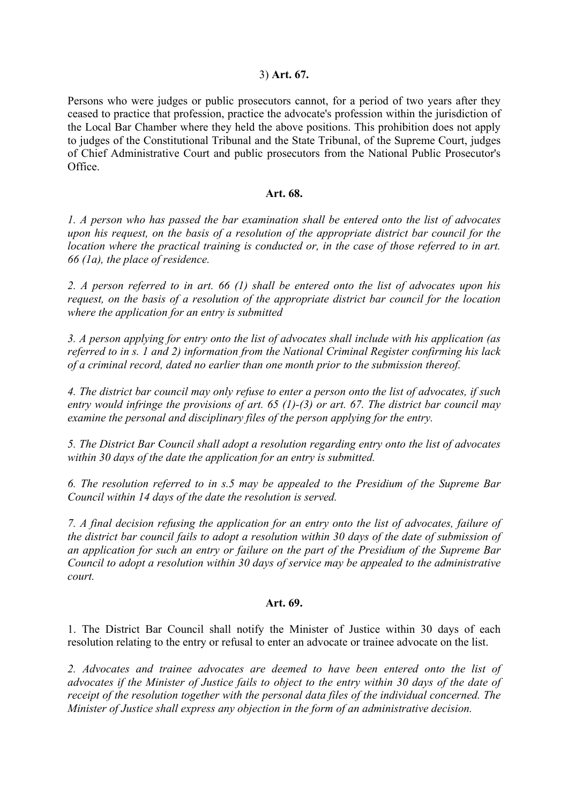### 3) **Art. 67.**

Persons who were judges or public prosecutors cannot, for a period of two years after they ceased to practice that profession, practice the advocate's profession within the jurisdiction of the Local Bar Chamber where they held the above positions. This prohibition does not apply to judges of the Constitutional Tribunal and the State Tribunal, of the Supreme Court, judges of Chief Administrative Court and public prosecutors from the National Public Prosecutor's Office.

#### **Art. 68.**

*1. A person who has passed the bar examination shall be entered onto the list of advocates upon his request, on the basis of a resolution of the appropriate district bar council for the location where the practical training is conducted or, in the case of those referred to in art. 66 (1a), the place of residence.* 

*2. A person referred to in art. 66 (1) shall be entered onto the list of advocates upon his request, on the basis of a resolution of the appropriate district bar council for the location where the application for an entry is submitted* 

*3. A person applying for entry onto the list of advocates shall include with his application (as referred to in s. 1 and 2) information from the National Criminal Register confirming his lack of a criminal record, dated no earlier than one month prior to the submission thereof.* 

*4. The district bar council may only refuse to enter a person onto the list of advocates, if such entry would infringe the provisions of art. 65 (1)-(3) or art. 67. The district bar council may examine the personal and disciplinary files of the person applying for the entry.* 

*5. The District Bar Council shall adopt a resolution regarding entry onto the list of advocates within 30 days of the date the application for an entry is submitted.* 

*6. The resolution referred to in s.5 may be appealed to the Presidium of the Supreme Bar Council within 14 days of the date the resolution is served.* 

*7. A final decision refusing the application for an entry onto the list of advocates, failure of the district bar council fails to adopt a resolution within 30 days of the date of submission of an application for such an entry or failure on the part of the Presidium of the Supreme Bar Council to adopt a resolution within 30 days of service may be appealed to the administrative court.* 

#### **Art. 69.**

1. The District Bar Council shall notify the Minister of Justice within 30 days of each resolution relating to the entry or refusal to enter an advocate or trainee advocate on the list.

*2. Advocates and trainee advocates are deemed to have been entered onto the list of advocates if the Minister of Justice fails to object to the entry within 30 days of the date of receipt of the resolution together with the personal data files of the individual concerned. The Minister of Justice shall express any objection in the form of an administrative decision.*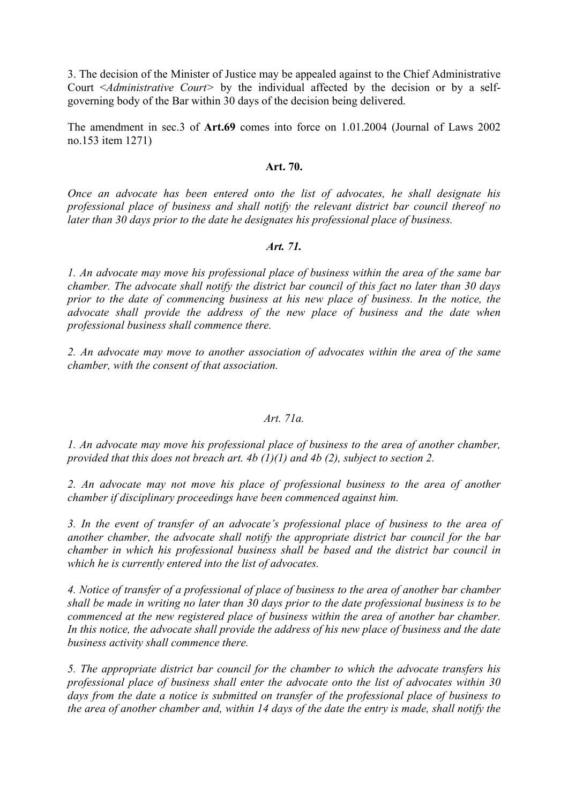3. The decision of the Minister of Justice may be appealed against to the Chief Administrative Court <*Administrative Court>* by the individual affected by the decision or by a selfgoverning body of the Bar within 30 days of the decision being delivered.

The amendment in sec.3 of **Art.69** comes into force on 1.01.2004 (Journal of Laws 2002 no.153 item 1271)

#### **Art. 70.**

*Once an advocate has been entered onto the list of advocates, he shall designate his professional place of business and shall notify the relevant district bar council thereof no later than 30 days prior to the date he designates his professional place of business.* 

#### *Art. 71.*

*1. An advocate may move his professional place of business within the area of the same bar chamber. The advocate shall notify the district bar council of this fact no later than 30 days prior to the date of commencing business at his new place of business. In the notice, the advocate shall provide the address of the new place of business and the date when professional business shall commence there.* 

*2. An advocate may move to another association of advocates within the area of the same chamber, with the consent of that association.* 

## *Art. 71a.*

*1. An advocate may move his professional place of business to the area of another chamber, provided that this does not breach art. 4b (1)(1) and 4b (2), subject to section 2.* 

*2. An advocate may not move his place of professional business to the area of another chamber if disciplinary proceedings have been commenced against him.* 

*3. In the event of transfer of an advocate's professional place of business to the area of another chamber, the advocate shall notify the appropriate district bar council for the bar chamber in which his professional business shall be based and the district bar council in which he is currently entered into the list of advocates.* 

*4. Notice of transfer of a professional of place of business to the area of another bar chamber shall be made in writing no later than 30 days prior to the date professional business is to be commenced at the new registered place of business within the area of another bar chamber. In this notice, the advocate shall provide the address of his new place of business and the date business activity shall commence there.* 

*5. The appropriate district bar council for the chamber to which the advocate transfers his professional place of business shall enter the advocate onto the list of advocates within 30 days from the date a notice is submitted on transfer of the professional place of business to the area of another chamber and, within 14 days of the date the entry is made, shall notify the*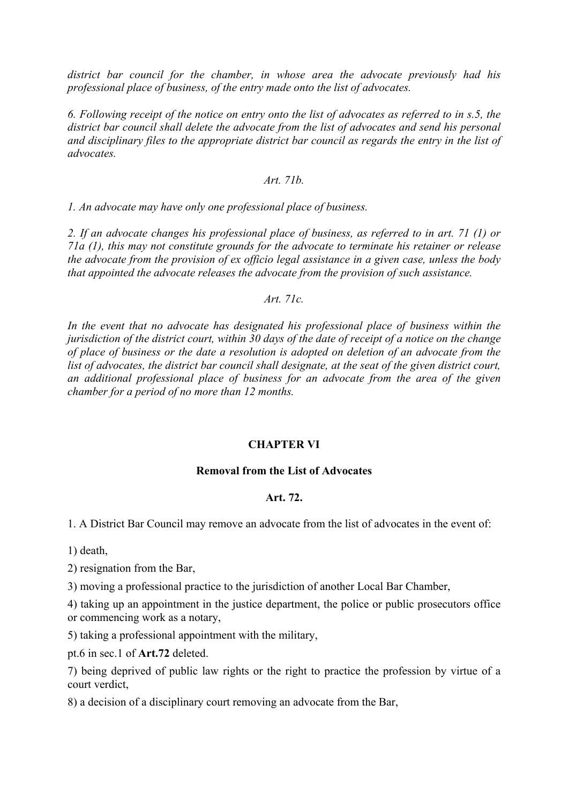*district bar council for the chamber, in whose area the advocate previously had his professional place of business, of the entry made onto the list of advocates.* 

*6. Following receipt of the notice on entry onto the list of advocates as referred to in s.5, the district bar council shall delete the advocate from the list of advocates and send his personal and disciplinary files to the appropriate district bar council as regards the entry in the list of advocates.* 

## *Art. 71b.*

*1. An advocate may have only one professional place of business.* 

*2. If an advocate changes his professional place of business, as referred to in art. 71 (1) or 71a (1), this may not constitute grounds for the advocate to terminate his retainer or release the advocate from the provision of ex officio legal assistance in a given case, unless the body that appointed the advocate releases the advocate from the provision of such assistance.* 

*Art. 71c.* 

*In the event that no advocate has designated his professional place of business within the jurisdiction of the district court, within 30 days of the date of receipt of a notice on the change of place of business or the date a resolution is adopted on deletion of an advocate from the list of advocates, the district bar council shall designate, at the seat of the given district court, an additional professional place of business for an advocate from the area of the given chamber for a period of no more than 12 months.* 

# **CHAPTER VI**

### **Removal from the List of Advocates**

### **Art. 72.**

1. A District Bar Council may remove an advocate from the list of advocates in the event of:

1) death,

2) resignation from the Bar,

3) moving a professional practice to the jurisdiction of another Local Bar Chamber,

4) taking up an appointment in the justice department, the police or public prosecutors office or commencing work as a notary,

5) taking a professional appointment with the military,

pt.6 in sec.1 of **Art.72** deleted.

7) being deprived of public law rights or the right to practice the profession by virtue of a court verdict,

8) a decision of a disciplinary court removing an advocate from the Bar,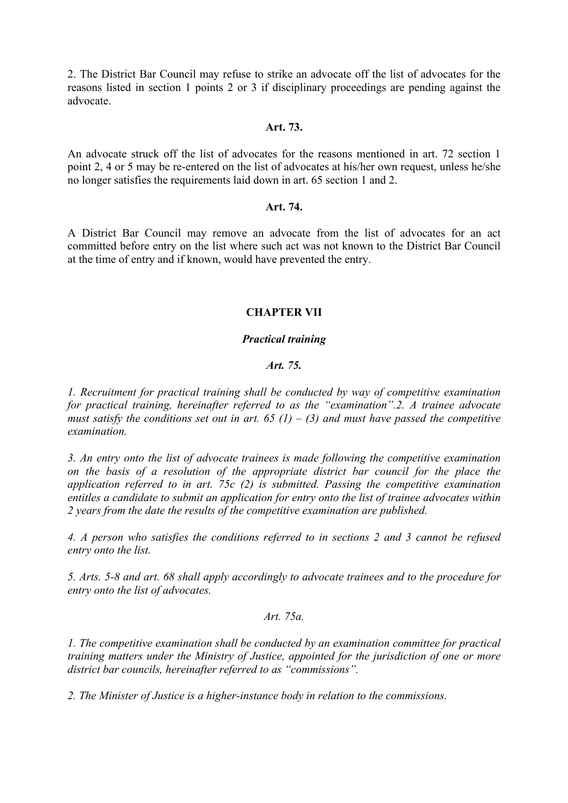2. The District Bar Council may refuse to strike an advocate off the list of advocates for the reasons listed in section 1 points 2 or 3 if disciplinary proceedings are pending against the advocate.

#### **Art. 73.**

An advocate struck off the list of advocates for the reasons mentioned in art. 72 section 1 point 2, 4 or 5 may be re-entered on the list of advocates at his/her own request, unless he/she no longer satisfies the requirements laid down in art. 65 section 1 and 2.

#### **Art. 74.**

A District Bar Council may remove an advocate from the list of advocates for an act committed before entry on the list where such act was not known to the District Bar Council at the time of entry and if known, would have prevented the entry.

## **CHAPTER VII**

## *Practical training*

## *Art. 75.*

*1. Recruitment for practical training shall be conducted by way of competitive examination for practical training, hereinafter referred to as the "examination".2. A trainee advocate must satisfy the conditions set out in art.* 65  $(1) - (3)$  *and must have passed the competitive examination.* 

*3. An entry onto the list of advocate trainees is made following the competitive examination on the basis of a resolution of the appropriate district bar council for the place the application referred to in art. 75c (2) is submitted. Passing the competitive examination entitles a candidate to submit an application for entry onto the list of trainee advocates within 2 years from the date the results of the competitive examination are published.* 

*4. A person who satisfies the conditions referred to in sections 2 and 3 cannot be refused entry onto the list.* 

*5. Arts. 5-8 and art. 68 shall apply accordingly to advocate trainees and to the procedure for entry onto the list of advocates.* 

## *Art. 75a.*

*1. The competitive examination shall be conducted by an examination committee for practical training matters under the Ministry of Justice, appointed for the jurisdiction of one or more district bar councils, hereinafter referred to as "commissions".* 

*2. The Minister of Justice is a higher-instance body in relation to the commissions.*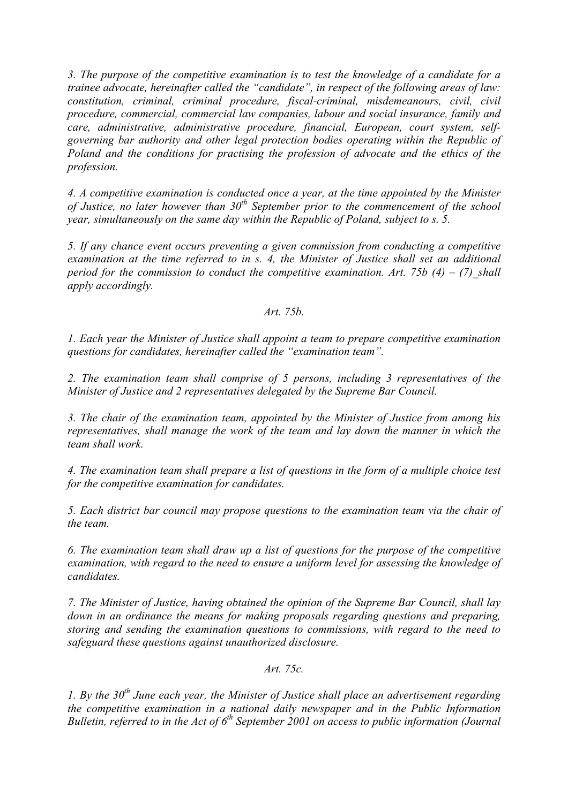*3. The purpose of the competitive examination is to test the knowledge of a candidate for a trainee advocate, hereinafter called the "candidate", in respect of the following areas of law: constitution, criminal, criminal procedure, fiscal-criminal, misdemeanours, civil, civil procedure, commercial, commercial law companies, labour and social insurance, family and care, administrative, administrative procedure, financial, European, court system, selfgoverning bar authority and other legal protection bodies operating within the Republic of Poland and the conditions for practising the profession of advocate and the ethics of the profession.* 

*4. A competitive examination is conducted once a year, at the time appointed by the Minister*  of Justice, no later however than 30<sup>th</sup> September prior to the commencement of the school *year, simultaneously on the same day within the Republic of Poland, subject to s. 5.* 

*5. If any chance event occurs preventing a given commission from conducting a competitive examination at the time referred to in s. 4, the Minister of Justice shall set an additional period for the commission to conduct the competitive examination. Art. 75b (4) – (7) shall apply accordingly.* 

# *Art. 75b.*

*1. Each year the Minister of Justice shall appoint a team to prepare competitive examination questions for candidates, hereinafter called the "examination team".* 

*2. The examination team shall comprise of 5 persons, including 3 representatives of the Minister of Justice and 2 representatives delegated by the Supreme Bar Council.* 

*3. The chair of the examination team, appointed by the Minister of Justice from among his representatives, shall manage the work of the team and lay down the manner in which the team shall work.* 

*4. The examination team shall prepare a list of questions in the form of a multiple choice test for the competitive examination for candidates.* 

*5. Each district bar council may propose questions to the examination team via the chair of the team.* 

*6. The examination team shall draw up a list of questions for the purpose of the competitive examination, with regard to the need to ensure a uniform level for assessing the knowledge of candidates.* 

*7. The Minister of Justice, having obtained the opinion of the Supreme Bar Council, shall lay down in an ordinance the means for making proposals regarding questions and preparing, storing and sending the examination questions to commissions, with regard to the need to safeguard these questions against unauthorized disclosure.* 

## *Art. 75c.*

*1. By the 30<sup>th</sup> June each year, the Minister of Justice shall place an advertisement regarding the competitive examination in a national daily newspaper and in the Public Information Bulletin, referred to in the Act of 6<sup>th</sup> September 2001 on access to public information (Journal*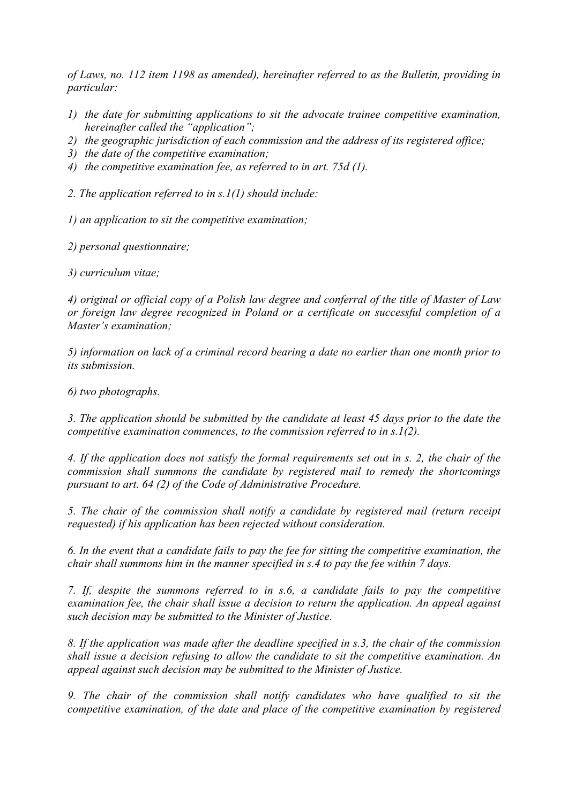*of Laws, no. 112 item 1198 as amended), hereinafter referred to as the Bulletin, providing in particular:* 

- *1) the date for submitting applications to sit the advocate trainee competitive examination, hereinafter called the "application";*
- *2) the geographic jurisdiction of each commission and the address of its registered office;*
- *3) the date of the competitive examination;*
- *4) the competitive examination fee, as referred to in art. 75d (1).*

*2. The application referred to in s.1(1) should include:* 

*1) an application to sit the competitive examination;* 

*2) personal questionnaire;* 

*3) curriculum vitae;* 

*4) original or official copy of a Polish law degree and conferral of the title of Master of Law or foreign law degree recognized in Poland or a certificate on successful completion of a Master's examination;* 

*5) information on lack of a criminal record bearing a date no earlier than one month prior to its submission.* 

*6) two photographs.* 

*3. The application should be submitted by the candidate at least 45 days prior to the date the competitive examination commences, to the commission referred to in s.1(2).* 

*4. If the application does not satisfy the formal requirements set out in s. 2, the chair of the commission shall summons the candidate by registered mail to remedy the shortcomings pursuant to art. 64 (2) of the Code of Administrative Procedure.* 

*5. The chair of the commission shall notify a candidate by registered mail (return receipt requested) if his application has been rejected without consideration.* 

*6. In the event that a candidate fails to pay the fee for sitting the competitive examination, the chair shall summons him in the manner specified in s.4 to pay the fee within 7 days.* 

*7. If, despite the summons referred to in s.6, a candidate fails to pay the competitive examination fee, the chair shall issue a decision to return the application. An appeal against such decision may be submitted to the Minister of Justice.* 

*8. If the application was made after the deadline specified in s.3, the chair of the commission shall issue a decision refusing to allow the candidate to sit the competitive examination. An appeal against such decision may be submitted to the Minister of Justice.* 

*9. The chair of the commission shall notify candidates who have qualified to sit the competitive examination, of the date and place of the competitive examination by registered*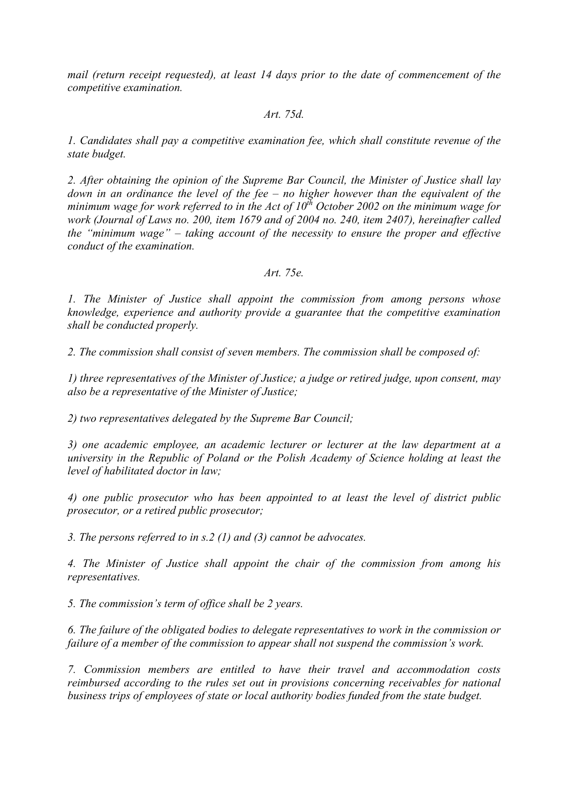*mail (return receipt requested), at least 14 days prior to the date of commencement of the competitive examination.* 

#### *Art. 75d.*

*1. Candidates shall pay a competitive examination fee, which shall constitute revenue of the state budget.* 

*2. After obtaining the opinion of the Supreme Bar Council, the Minister of Justice shall lay down in an ordinance the level of the fee – no higher however than the equivalent of the minimum wage for work referred to in the Act of*  $10^{th}$  *October 2002 on the minimum wage for work (Journal of Laws no. 200, item 1679 and of 2004 no. 240, item 2407), hereinafter called the "minimum wage" – taking account of the necessity to ensure the proper and effective conduct of the examination.* 

## *Art. 75e.*

*1. The Minister of Justice shall appoint the commission from among persons whose knowledge, experience and authority provide a guarantee that the competitive examination shall be conducted properly.* 

*2. The commission shall consist of seven members. The commission shall be composed of:* 

*1) three representatives of the Minister of Justice; a judge or retired judge, upon consent, may also be a representative of the Minister of Justice;* 

*2) two representatives delegated by the Supreme Bar Council;* 

*3) one academic employee, an academic lecturer or lecturer at the law department at a university in the Republic of Poland or the Polish Academy of Science holding at least the level of habilitated doctor in law;* 

*4) one public prosecutor who has been appointed to at least the level of district public prosecutor, or a retired public prosecutor;* 

*3. The persons referred to in s.2 (1) and (3) cannot be advocates.* 

*4. The Minister of Justice shall appoint the chair of the commission from among his representatives.* 

*5. The commission's term of office shall be 2 years.* 

*6. The failure of the obligated bodies to delegate representatives to work in the commission or failure of a member of the commission to appear shall not suspend the commission's work.* 

*7. Commission members are entitled to have their travel and accommodation costs reimbursed according to the rules set out in provisions concerning receivables for national business trips of employees of state or local authority bodies funded from the state budget.*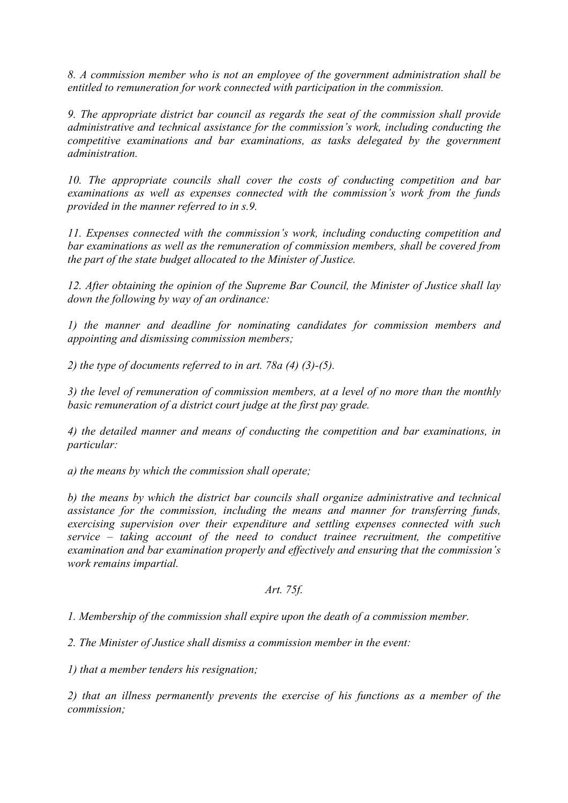*8. A commission member who is not an employee of the government administration shall be entitled to remuneration for work connected with participation in the commission.* 

*9. The appropriate district bar council as regards the seat of the commission shall provide administrative and technical assistance for the commission's work, including conducting the competitive examinations and bar examinations, as tasks delegated by the government administration.* 

*10. The appropriate councils shall cover the costs of conducting competition and bar examinations as well as expenses connected with the commission's work from the funds provided in the manner referred to in s.9.* 

*11. Expenses connected with the commission's work, including conducting competition and bar examinations as well as the remuneration of commission members, shall be covered from the part of the state budget allocated to the Minister of Justice.* 

*12. After obtaining the opinion of the Supreme Bar Council, the Minister of Justice shall lay down the following by way of an ordinance:* 

*1) the manner and deadline for nominating candidates for commission members and appointing and dismissing commission members;* 

*2) the type of documents referred to in art. 78a (4) (3)-(5).* 

*3) the level of remuneration of commission members, at a level of no more than the monthly basic remuneration of a district court judge at the first pay grade.* 

*4) the detailed manner and means of conducting the competition and bar examinations, in particular:* 

*a) the means by which the commission shall operate;* 

*b) the means by which the district bar councils shall organize administrative and technical assistance for the commission, including the means and manner for transferring funds, exercising supervision over their expenditure and settling expenses connected with such service – taking account of the need to conduct trainee recruitment, the competitive examination and bar examination properly and effectively and ensuring that the commission's work remains impartial.* 

## *Art. 75f.*

*1. Membership of the commission shall expire upon the death of a commission member.* 

*2. The Minister of Justice shall dismiss a commission member in the event:* 

*1) that a member tenders his resignation;* 

*2) that an illness permanently prevents the exercise of his functions as a member of the commission;*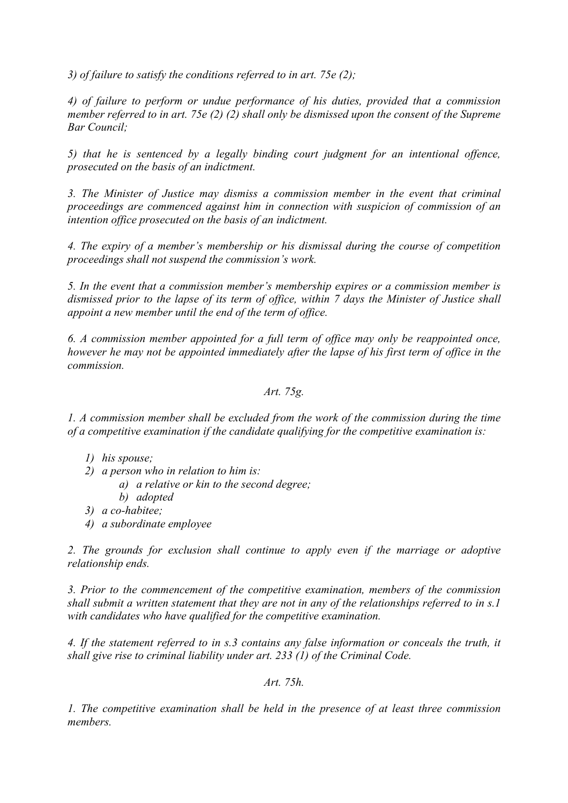*3) of failure to satisfy the conditions referred to in art. 75e (2);* 

*4) of failure to perform or undue performance of his duties, provided that a commission member referred to in art. 75e (2) (2) shall only be dismissed upon the consent of the Supreme Bar Council;* 

*5) that he is sentenced by a legally binding court judgment for an intentional offence, prosecuted on the basis of an indictment.* 

*3. The Minister of Justice may dismiss a commission member in the event that criminal proceedings are commenced against him in connection with suspicion of commission of an intention office prosecuted on the basis of an indictment.* 

*4. The expiry of a member's membership or his dismissal during the course of competition proceedings shall not suspend the commission's work.* 

*5. In the event that a commission member's membership expires or a commission member is dismissed prior to the lapse of its term of office, within 7 days the Minister of Justice shall appoint a new member until the end of the term of office.* 

*6. A commission member appointed for a full term of office may only be reappointed once, however he may not be appointed immediately after the lapse of his first term of office in the commission.* 

# *Art. 75g.*

*1. A commission member shall be excluded from the work of the commission during the time of a competitive examination if the candidate qualifying for the competitive examination is:* 

- *1) his spouse;*
- *2) a person who in relation to him is:* 
	- *a) a relative or kin to the second degree;*
	- *b) adopted*
- *3) a co-habitee;*
- *4) a subordinate employee*

*2. The grounds for exclusion shall continue to apply even if the marriage or adoptive relationship ends.* 

*3. Prior to the commencement of the competitive examination, members of the commission shall submit a written statement that they are not in any of the relationships referred to in s.1 with candidates who have qualified for the competitive examination.* 

*4. If the statement referred to in s.3 contains any false information or conceals the truth, it shall give rise to criminal liability under art. 233 (1) of the Criminal Code.* 

*Art. 75h.* 

*1. The competitive examination shall be held in the presence of at least three commission members.*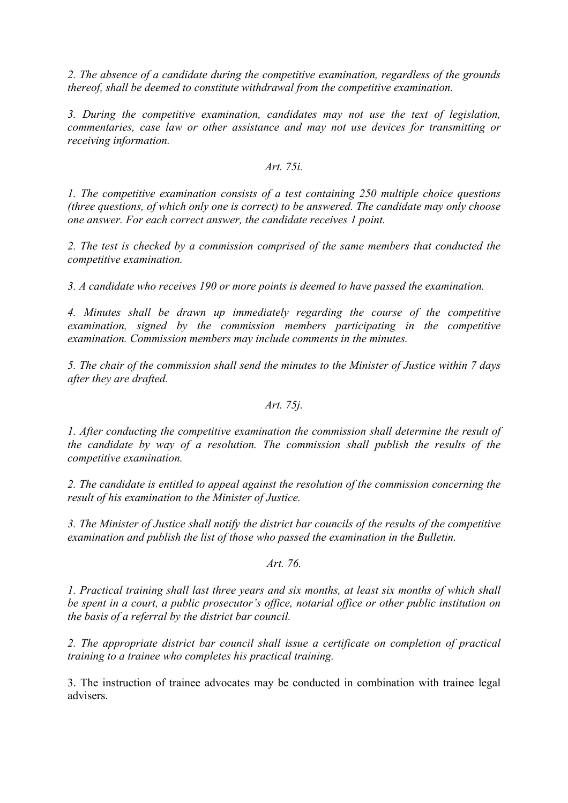*2. The absence of a candidate during the competitive examination, regardless of the grounds thereof, shall be deemed to constitute withdrawal from the competitive examination.* 

*3. During the competitive examination, candidates may not use the text of legislation, commentaries, case law or other assistance and may not use devices for transmitting or receiving information.* 

#### *Art. 75i.*

*1. The competitive examination consists of a test containing 250 multiple choice questions (three questions, of which only one is correct) to be answered. The candidate may only choose one answer. For each correct answer, the candidate receives 1 point.* 

*2. The test is checked by a commission comprised of the same members that conducted the competitive examination.* 

*3. A candidate who receives 190 or more points is deemed to have passed the examination.* 

*4. Minutes shall be drawn up immediately regarding the course of the competitive examination, signed by the commission members participating in the competitive examination. Commission members may include comments in the minutes.* 

*5. The chair of the commission shall send the minutes to the Minister of Justice within 7 days after they are drafted.* 

## *Art. 75j.*

*1. After conducting the competitive examination the commission shall determine the result of the candidate by way of a resolution. The commission shall publish the results of the competitive examination.* 

*2. The candidate is entitled to appeal against the resolution of the commission concerning the result of his examination to the Minister of Justice.* 

*3. The Minister of Justice shall notify the district bar councils of the results of the competitive examination and publish the list of those who passed the examination in the Bulletin.* 

## *Art. 76.*

*1. Practical training shall last three years and six months, at least six months of which shall be spent in a court, a public prosecutor's office, notarial office or other public institution on the basis of a referral by the district bar council.* 

*2. The appropriate district bar council shall issue a certificate on completion of practical training to a trainee who completes his practical training.* 

3. The instruction of trainee advocates may be conducted in combination with trainee legal advisers.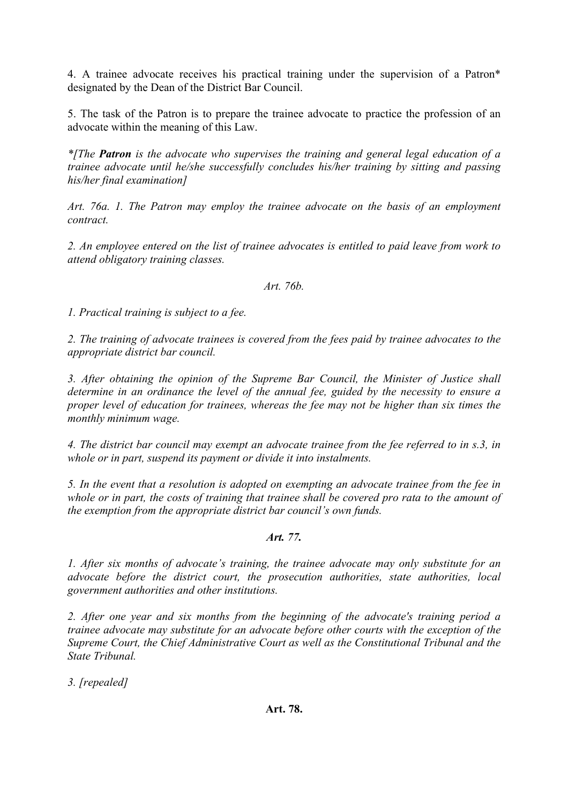4. A trainee advocate receives his practical training under the supervision of a Patron\* designated by the Dean of the District Bar Council.

5. The task of the Patron is to prepare the trainee advocate to practice the profession of an advocate within the meaning of this Law.

*\*[The Patron is the advocate who supervises the training and general legal education of a trainee advocate until he/she successfully concludes his/her training by sitting and passing his/her final examination]* 

*Art. 76a. 1. The Patron may employ the trainee advocate on the basis of an employment contract.* 

*2. An employee entered on the list of trainee advocates is entitled to paid leave from work to attend obligatory training classes.* 

*Art. 76b.* 

*1. Practical training is subject to a fee.* 

*2. The training of advocate trainees is covered from the fees paid by trainee advocates to the appropriate district bar council.* 

*3. After obtaining the opinion of the Supreme Bar Council, the Minister of Justice shall determine in an ordinance the level of the annual fee, guided by the necessity to ensure a proper level of education for trainees, whereas the fee may not be higher than six times the monthly minimum wage.* 

*4. The district bar council may exempt an advocate trainee from the fee referred to in s.3, in whole or in part, suspend its payment or divide it into instalments.* 

*5. In the event that a resolution is adopted on exempting an advocate trainee from the fee in whole or in part, the costs of training that trainee shall be covered pro rata to the amount of the exemption from the appropriate district bar council's own funds.* 

## *Art. 77.*

*1. After six months of advocate's training, the trainee advocate may only substitute for an advocate before the district court, the prosecution authorities, state authorities, local government authorities and other institutions.* 

*2. After one year and six months from the beginning of the advocate's training period a trainee advocate may substitute for an advocate before other courts with the exception of the Supreme Court, the Chief Administrative Court as well as the Constitutional Tribunal and the State Tribunal.* 

*3. [repealed]*

### **Art. 78.**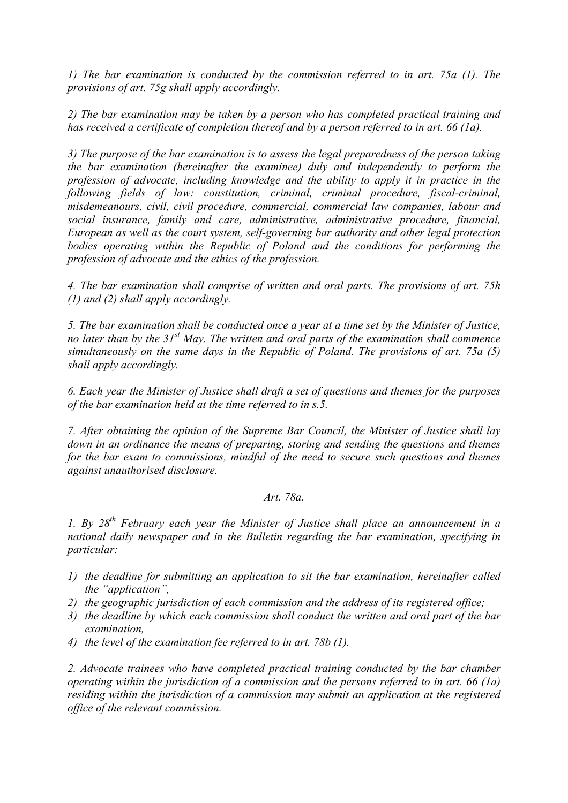*1) The bar examination is conducted by the commission referred to in art. 75a (1). The provisions of art. 75g shall apply accordingly.* 

*2) The bar examination may be taken by a person who has completed practical training and has received a certificate of completion thereof and by a person referred to in art. 66 (1a).* 

*3) The purpose of the bar examination is to assess the legal preparedness of the person taking the bar examination (hereinafter the examinee) duly and independently to perform the profession of advocate, including knowledge and the ability to apply it in practice in the following fields of law: constitution, criminal, criminal procedure, fiscal-criminal, misdemeanours, civil, civil procedure, commercial, commercial law companies, labour and social insurance, family and care, administrative, administrative procedure, financial, European as well as the court system, self-governing bar authority and other legal protection bodies operating within the Republic of Poland and the conditions for performing the profession of advocate and the ethics of the profession.* 

*4. The bar examination shall comprise of written and oral parts. The provisions of art. 75h (1) and (2) shall apply accordingly.* 

*5. The bar examination shall be conducted once a year at a time set by the Minister of Justice, no later than by the 31st May. The written and oral parts of the examination shall commence simultaneously on the same days in the Republic of Poland. The provisions of art. 75a (5) shall apply accordingly.* 

*6. Each year the Minister of Justice shall draft a set of questions and themes for the purposes of the bar examination held at the time referred to in s.5.* 

*7. After obtaining the opinion of the Supreme Bar Council, the Minister of Justice shall lay down in an ordinance the means of preparing, storing and sending the questions and themes for the bar exam to commissions, mindful of the need to secure such questions and themes against unauthorised disclosure.* 

# *Art. 78a.*

*1. By 28th February each year the Minister of Justice shall place an announcement in a national daily newspaper and in the Bulletin regarding the bar examination, specifying in particular:* 

- *1) the deadline for submitting an application to sit the bar examination, hereinafter called the "application",*
- *2) the geographic jurisdiction of each commission and the address of its registered office;*
- *3) the deadline by which each commission shall conduct the written and oral part of the bar examination,*
- *4) the level of the examination fee referred to in art. 78b (1).*

*2. Advocate trainees who have completed practical training conducted by the bar chamber operating within the jurisdiction of a commission and the persons referred to in art. 66 (1a) residing within the jurisdiction of a commission may submit an application at the registered office of the relevant commission.*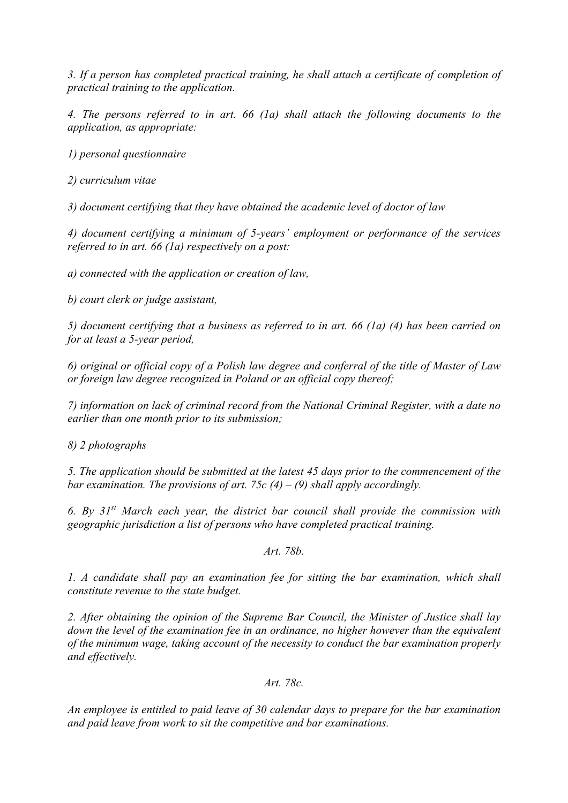*3. If a person has completed practical training, he shall attach a certificate of completion of practical training to the application.* 

*4. The persons referred to in art. 66 (1a) shall attach the following documents to the application, as appropriate:* 

*1) personal questionnaire* 

*2) curriculum vitae* 

*3) document certifying that they have obtained the academic level of doctor of law* 

*4) document certifying a minimum of 5-years' employment or performance of the services referred to in art. 66 (1a) respectively on a post:* 

*a) connected with the application or creation of law,* 

*b) court clerk or judge assistant,* 

*5) document certifying that a business as referred to in art. 66 (1a) (4) has been carried on for at least a 5-year period,* 

*6) original or official copy of a Polish law degree and conferral of the title of Master of Law or foreign law degree recognized in Poland or an official copy thereof;* 

*7) information on lack of criminal record from the National Criminal Register, with a date no earlier than one month prior to its submission;* 

*8) 2 photographs* 

*5. The application should be submitted at the latest 45 days prior to the commencement of the bar examination. The provisions of art. 75c (4) – (9) shall apply accordingly.* 

*6. By 31st March each year, the district bar council shall provide the commission with geographic jurisdiction a list of persons who have completed practical training.* 

*Art. 78b.* 

*1. A candidate shall pay an examination fee for sitting the bar examination, which shall constitute revenue to the state budget.* 

*2. After obtaining the opinion of the Supreme Bar Council, the Minister of Justice shall lay down the level of the examination fee in an ordinance, no higher however than the equivalent of the minimum wage, taking account of the necessity to conduct the bar examination properly and effectively.* 

*Art. 78c.* 

*An employee is entitled to paid leave of 30 calendar days to prepare for the bar examination and paid leave from work to sit the competitive and bar examinations.*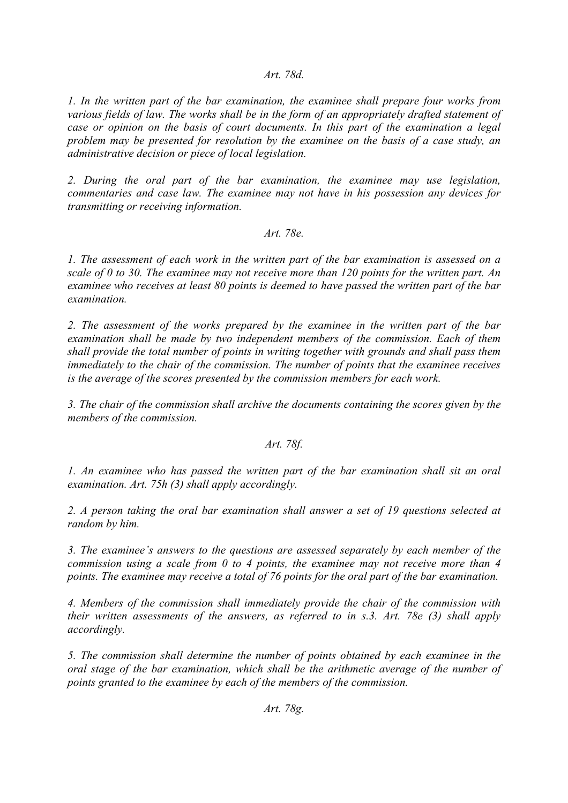## *Art. 78d.*

*1. In the written part of the bar examination, the examinee shall prepare four works from various fields of law. The works shall be in the form of an appropriately drafted statement of case or opinion on the basis of court documents. In this part of the examination a legal problem may be presented for resolution by the examinee on the basis of a case study, an administrative decision or piece of local legislation.* 

*2. During the oral part of the bar examination, the examinee may use legislation, commentaries and case law. The examinee may not have in his possession any devices for transmitting or receiving information.* 

### *Art. 78e.*

*1. The assessment of each work in the written part of the bar examination is assessed on a scale of 0 to 30. The examinee may not receive more than 120 points for the written part. An examinee who receives at least 80 points is deemed to have passed the written part of the bar examination.* 

*2. The assessment of the works prepared by the examinee in the written part of the bar examination shall be made by two independent members of the commission. Each of them shall provide the total number of points in writing together with grounds and shall pass them immediately to the chair of the commission. The number of points that the examinee receives is the average of the scores presented by the commission members for each work.* 

*3. The chair of the commission shall archive the documents containing the scores given by the members of the commission.* 

### *Art. 78f.*

*1. An examinee who has passed the written part of the bar examination shall sit an oral examination. Art. 75h (3) shall apply accordingly.* 

*2. A person taking the oral bar examination shall answer a set of 19 questions selected at random by him.* 

*3. The examinee's answers to the questions are assessed separately by each member of the commission using a scale from 0 to 4 points, the examinee may not receive more than 4 points. The examinee may receive a total of 76 points for the oral part of the bar examination.* 

*4. Members of the commission shall immediately provide the chair of the commission with their written assessments of the answers, as referred to in s.3. Art. 78e (3) shall apply accordingly.* 

*5. The commission shall determine the number of points obtained by each examinee in the oral stage of the bar examination, which shall be the arithmetic average of the number of points granted to the examinee by each of the members of the commission.*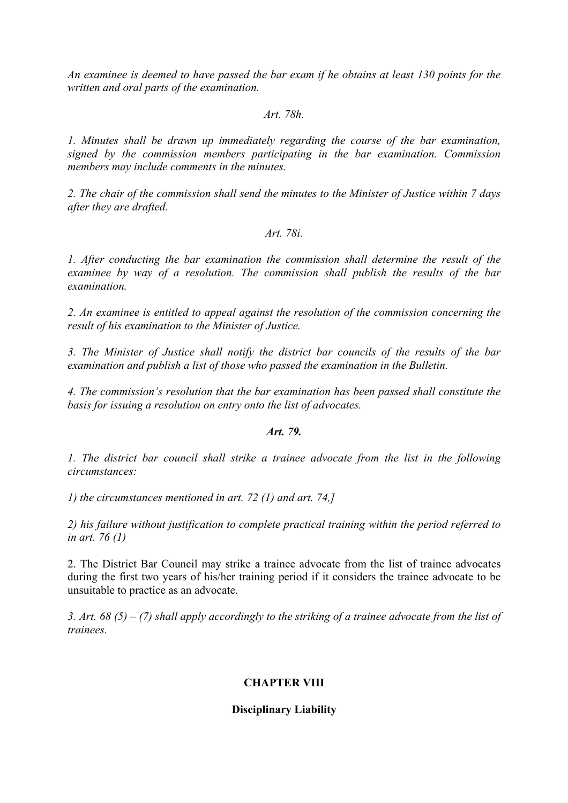*An examinee is deemed to have passed the bar exam if he obtains at least 130 points for the written and oral parts of the examination.* 

#### *Art. 78h.*

*1. Minutes shall be drawn up immediately regarding the course of the bar examination, signed by the commission members participating in the bar examination. Commission members may include comments in the minutes.* 

*2. The chair of the commission shall send the minutes to the Minister of Justice within 7 days after they are drafted.* 

#### *Art. 78i.*

*1. After conducting the bar examination the commission shall determine the result of the examinee by way of a resolution. The commission shall publish the results of the bar examination.* 

*2. An examinee is entitled to appeal against the resolution of the commission concerning the result of his examination to the Minister of Justice.* 

*3. The Minister of Justice shall notify the district bar councils of the results of the bar examination and publish a list of those who passed the examination in the Bulletin.* 

*4. The commission's resolution that the bar examination has been passed shall constitute the basis for issuing a resolution on entry onto the list of advocates.* 

#### *Art. 79.*

*1. The district bar council shall strike a trainee advocate from the list in the following circumstances:* 

*1) the circumstances mentioned in art. 72 (1) and art. 74,]* 

*2) his failure without justification to complete practical training within the period referred to in art. 76 (1)* 

2. The District Bar Council may strike a trainee advocate from the list of trainee advocates during the first two years of his/her training period if it considers the trainee advocate to be unsuitable to practice as an advocate.

*3. Art. 68 (5) – (7) shall apply accordingly to the striking of a trainee advocate from the list of trainees.*

# **CHAPTER VIII**

### **Disciplinary Liability**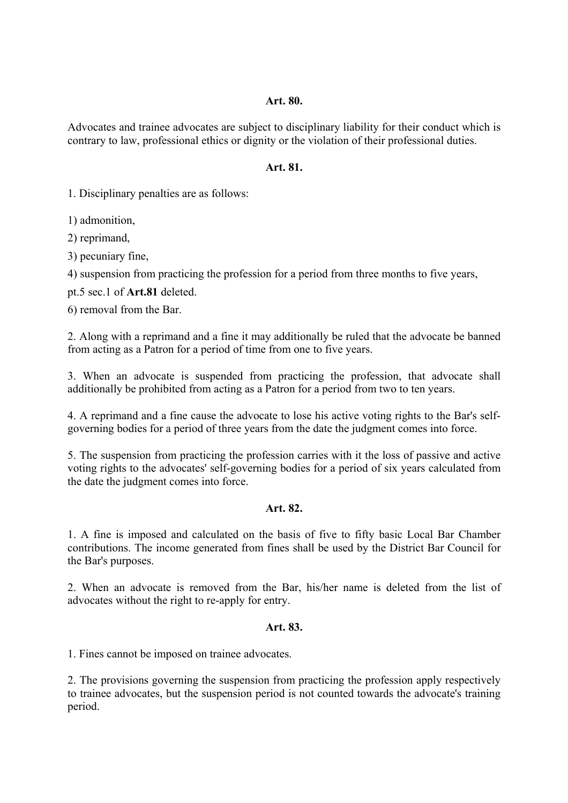## **Art. 80.**

Advocates and trainee advocates are subject to disciplinary liability for their conduct which is contrary to law, professional ethics or dignity or the violation of their professional duties.

## **Art. 81.**

1. Disciplinary penalties are as follows:

1) admonition,

2) reprimand,

3) pecuniary fine,

4) suspension from practicing the profession for a period from three months to five years,

pt.5 sec.1 of **Art.81** deleted.

6) removal from the Bar.

2. Along with a reprimand and a fine it may additionally be ruled that the advocate be banned from acting as a Patron for a period of time from one to five years.

3. When an advocate is suspended from practicing the profession, that advocate shall additionally be prohibited from acting as a Patron for a period from two to ten years.

4. A reprimand and a fine cause the advocate to lose his active voting rights to the Bar's selfgoverning bodies for a period of three years from the date the judgment comes into force.

5. The suspension from practicing the profession carries with it the loss of passive and active voting rights to the advocates' self-governing bodies for a period of six years calculated from the date the judgment comes into force.

# **Art. 82.**

1. A fine is imposed and calculated on the basis of five to fifty basic Local Bar Chamber contributions. The income generated from fines shall be used by the District Bar Council for the Bar's purposes.

2. When an advocate is removed from the Bar, his/her name is deleted from the list of advocates without the right to re-apply for entry.

# **Art. 83.**

1. Fines cannot be imposed on trainee advocates.

2. The provisions governing the suspension from practicing the profession apply respectively to trainee advocates, but the suspension period is not counted towards the advocate's training period.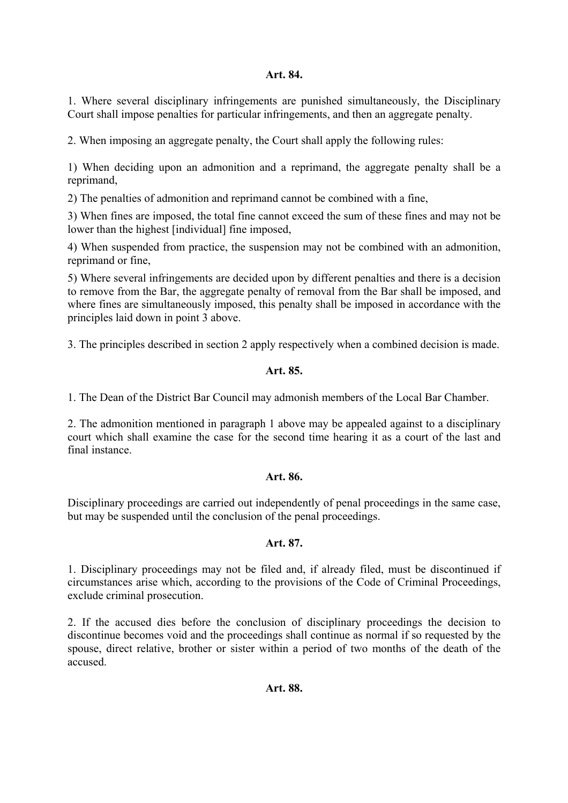### **Art. 84.**

1. Where several disciplinary infringements are punished simultaneously, the Disciplinary Court shall impose penalties for particular infringements, and then an aggregate penalty.

2. When imposing an aggregate penalty, the Court shall apply the following rules:

1) When deciding upon an admonition and a reprimand, the aggregate penalty shall be a reprimand,

2) The penalties of admonition and reprimand cannot be combined with a fine,

3) When fines are imposed, the total fine cannot exceed the sum of these fines and may not be lower than the highest [individual] fine imposed,

4) When suspended from practice, the suspension may not be combined with an admonition, reprimand or fine,

5) Where several infringements are decided upon by different penalties and there is a decision to remove from the Bar, the aggregate penalty of removal from the Bar shall be imposed, and where fines are simultaneously imposed, this penalty shall be imposed in accordance with the principles laid down in point 3 above.

3. The principles described in section 2 apply respectively when a combined decision is made.

## **Art. 85.**

1. The Dean of the District Bar Council may admonish members of the Local Bar Chamber.

2. The admonition mentioned in paragraph 1 above may be appealed against to a disciplinary court which shall examine the case for the second time hearing it as a court of the last and final instance.

### **Art. 86.**

Disciplinary proceedings are carried out independently of penal proceedings in the same case, but may be suspended until the conclusion of the penal proceedings.

### **Art. 87.**

1. Disciplinary proceedings may not be filed and, if already filed, must be discontinued if circumstances arise which, according to the provisions of the Code of Criminal Proceedings, exclude criminal prosecution.

2. If the accused dies before the conclusion of disciplinary proceedings the decision to discontinue becomes void and the proceedings shall continue as normal if so requested by the spouse, direct relative, brother or sister within a period of two months of the death of the accused.

### **Art. 88.**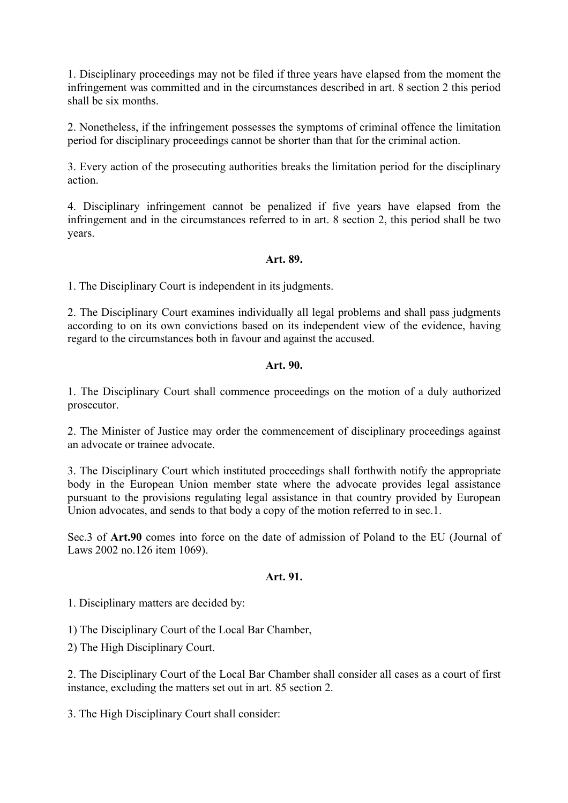1. Disciplinary proceedings may not be filed if three years have elapsed from the moment the infringement was committed and in the circumstances described in art. 8 section 2 this period shall be six months.

2. Nonetheless, if the infringement possesses the symptoms of criminal offence the limitation period for disciplinary proceedings cannot be shorter than that for the criminal action.

3. Every action of the prosecuting authorities breaks the limitation period for the disciplinary action.

4. Disciplinary infringement cannot be penalized if five years have elapsed from the infringement and in the circumstances referred to in art. 8 section 2, this period shall be two years.

## **Art. 89.**

1. The Disciplinary Court is independent in its judgments.

2. The Disciplinary Court examines individually all legal problems and shall pass judgments according to on its own convictions based on its independent view of the evidence, having regard to the circumstances both in favour and against the accused.

## **Art. 90.**

1. The Disciplinary Court shall commence proceedings on the motion of a duly authorized prosecutor.

2. The Minister of Justice may order the commencement of disciplinary proceedings against an advocate or trainee advocate.

3. The Disciplinary Court which instituted proceedings shall forthwith notify the appropriate body in the European Union member state where the advocate provides legal assistance pursuant to the provisions regulating legal assistance in that country provided by European Union advocates, and sends to that body a copy of the motion referred to in sec.1.

Sec.3 of **Art.90** comes into force on the date of admission of Poland to the EU (Journal of Laws 2002 no.126 item 1069).

### **Art. 91.**

1. Disciplinary matters are decided by:

1) The Disciplinary Court of the Local Bar Chamber,

2) The High Disciplinary Court.

2. The Disciplinary Court of the Local Bar Chamber shall consider all cases as a court of first instance, excluding the matters set out in art. 85 section 2.

3. The High Disciplinary Court shall consider: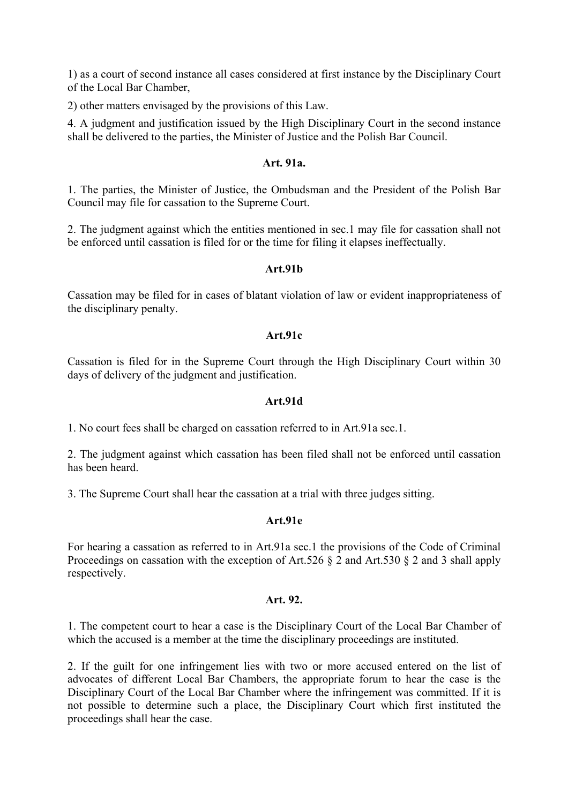1) as a court of second instance all cases considered at first instance by the Disciplinary Court of the Local Bar Chamber,

2) other matters envisaged by the provisions of this Law.

4. A judgment and justification issued by the High Disciplinary Court in the second instance shall be delivered to the parties, the Minister of Justice and the Polish Bar Council.

### **Art. 91a.**

1. The parties, the Minister of Justice, the Ombudsman and the President of the Polish Bar Council may file for cassation to the Supreme Court.

2. The judgment against which the entities mentioned in sec.1 may file for cassation shall not be enforced until cassation is filed for or the time for filing it elapses ineffectually.

### **Art.91b**

Cassation may be filed for in cases of blatant violation of law or evident inappropriateness of the disciplinary penalty.

#### **Art.91c**

Cassation is filed for in the Supreme Court through the High Disciplinary Court within 30 days of delivery of the judgment and justification.

#### **Art.91d**

1. No court fees shall be charged on cassation referred to in Art.91a sec.1.

2. The judgment against which cassation has been filed shall not be enforced until cassation has been heard.

3. The Supreme Court shall hear the cassation at a trial with three judges sitting.

### **Art.91e**

For hearing a cassation as referred to in Art.91a sec.1 the provisions of the Code of Criminal Proceedings on cassation with the exception of Art.526  $\S$  2 and Art.530  $\S$  2 and 3 shall apply respectively.

#### **Art. 92.**

1. The competent court to hear a case is the Disciplinary Court of the Local Bar Chamber of which the accused is a member at the time the disciplinary proceedings are instituted.

2. If the guilt for one infringement lies with two or more accused entered on the list of advocates of different Local Bar Chambers, the appropriate forum to hear the case is the Disciplinary Court of the Local Bar Chamber where the infringement was committed. If it is not possible to determine such a place, the Disciplinary Court which first instituted the proceedings shall hear the case.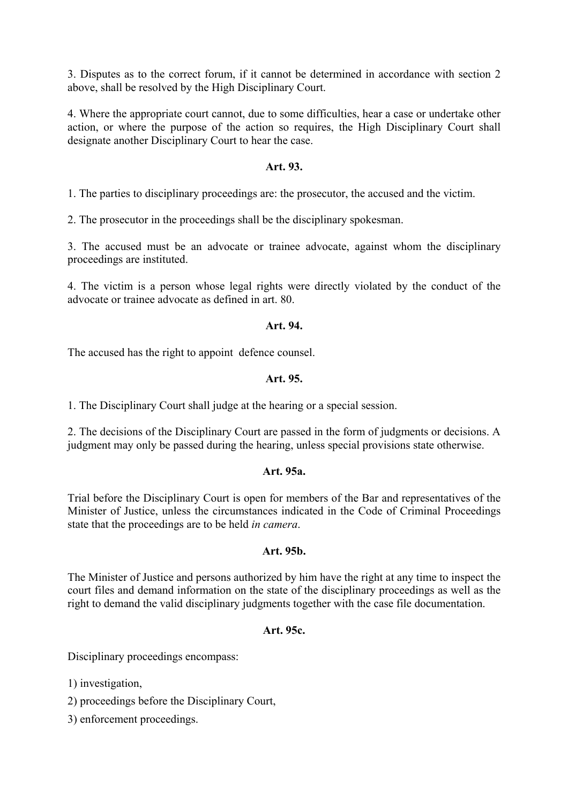3. Disputes as to the correct forum, if it cannot be determined in accordance with section 2 above, shall be resolved by the High Disciplinary Court.

4. Where the appropriate court cannot, due to some difficulties, hear a case or undertake other action, or where the purpose of the action so requires, the High Disciplinary Court shall designate another Disciplinary Court to hear the case.

## **Art. 93.**

1. The parties to disciplinary proceedings are: the prosecutor, the accused and the victim.

2. The prosecutor in the proceedings shall be the disciplinary spokesman.

3. The accused must be an advocate or trainee advocate, against whom the disciplinary proceedings are instituted.

4. The victim is a person whose legal rights were directly violated by the conduct of the advocate or trainee advocate as defined in art. 80.

## **Art. 94.**

The accused has the right to appoint defence counsel.

### **Art. 95.**

1. The Disciplinary Court shall judge at the hearing or a special session.

2. The decisions of the Disciplinary Court are passed in the form of judgments or decisions. A judgment may only be passed during the hearing, unless special provisions state otherwise.

### **Art. 95a.**

Trial before the Disciplinary Court is open for members of the Bar and representatives of the Minister of Justice, unless the circumstances indicated in the Code of Criminal Proceedings state that the proceedings are to be held *in camera*.

### **Art. 95b.**

The Minister of Justice and persons authorized by him have the right at any time to inspect the court files and demand information on the state of the disciplinary proceedings as well as the right to demand the valid disciplinary judgments together with the case file documentation.

### **Art. 95c.**

Disciplinary proceedings encompass:

1) investigation,

2) proceedings before the Disciplinary Court,

3) enforcement proceedings.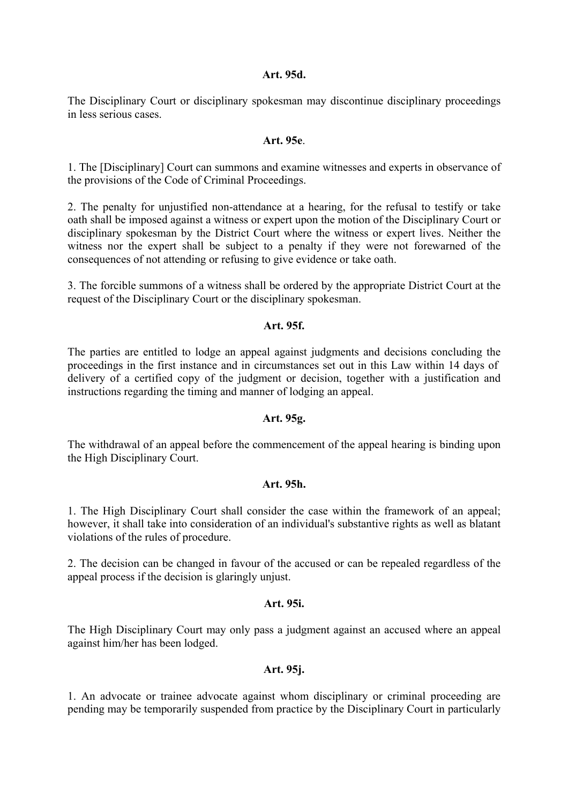#### **Art. 95d.**

The Disciplinary Court or disciplinary spokesman may discontinue disciplinary proceedings in less serious cases.

#### **Art. 95e**.

1. The [Disciplinary] Court can summons and examine witnesses and experts in observance of the provisions of the Code of Criminal Proceedings.

2. The penalty for unjustified non-attendance at a hearing, for the refusal to testify or take oath shall be imposed against a witness or expert upon the motion of the Disciplinary Court or disciplinary spokesman by the District Court where the witness or expert lives. Neither the witness nor the expert shall be subject to a penalty if they were not forewarned of the consequences of not attending or refusing to give evidence or take oath.

3. The forcible summons of a witness shall be ordered by the appropriate District Court at the request of the Disciplinary Court or the disciplinary spokesman.

#### **Art. 95f.**

The parties are entitled to lodge an appeal against judgments and decisions concluding the proceedings in the first instance and in circumstances set out in this Law within 14 days of delivery of a certified copy of the judgment or decision, together with a justification and instructions regarding the timing and manner of lodging an appeal.

### **Art. 95g.**

The withdrawal of an appeal before the commencement of the appeal hearing is binding upon the High Disciplinary Court.

### **Art. 95h.**

1. The High Disciplinary Court shall consider the case within the framework of an appeal; however, it shall take into consideration of an individual's substantive rights as well as blatant violations of the rules of procedure.

2. The decision can be changed in favour of the accused or can be repealed regardless of the appeal process if the decision is glaringly unjust.

## **Art. 95i.**

The High Disciplinary Court may only pass a judgment against an accused where an appeal against him/her has been lodged.

#### **Art. 95j.**

1. An advocate or trainee advocate against whom disciplinary or criminal proceeding are pending may be temporarily suspended from practice by the Disciplinary Court in particularly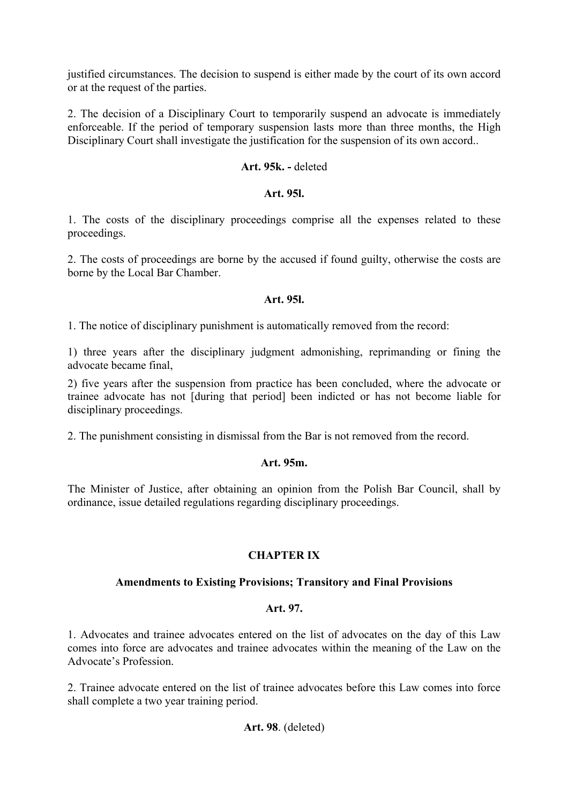justified circumstances. The decision to suspend is either made by the court of its own accord or at the request of the parties.

2. The decision of a Disciplinary Court to temporarily suspend an advocate is immediately enforceable. If the period of temporary suspension lasts more than three months, the High Disciplinary Court shall investigate the justification for the suspension of its own accord..

## **Art. 95k. -** deleted

## **Art. 95l.**

1. The costs of the disciplinary proceedings comprise all the expenses related to these proceedings.

2. The costs of proceedings are borne by the accused if found guilty, otherwise the costs are borne by the Local Bar Chamber.

## **Art. 95ł.**

1. The notice of disciplinary punishment is automatically removed from the record:

1) three years after the disciplinary judgment admonishing, reprimanding or fining the advocate became final,

2) five years after the suspension from practice has been concluded, where the advocate or trainee advocate has not [during that period] been indicted or has not become liable for disciplinary proceedings.

2. The punishment consisting in dismissal from the Bar is not removed from the record.

### **Art. 95m.**

The Minister of Justice, after obtaining an opinion from the Polish Bar Council, shall by ordinance, issue detailed regulations regarding disciplinary proceedings.

# **CHAPTER IX**

## **Amendments to Existing Provisions; Transitory and Final Provisions**

### **Art. 97.**

1. Advocates and trainee advocates entered on the list of advocates on the day of this Law comes into force are advocates and trainee advocates within the meaning of the Law on the Advocate's Profession.

2. Trainee advocate entered on the list of trainee advocates before this Law comes into force shall complete a two year training period.

# **Art. 98**. (deleted)